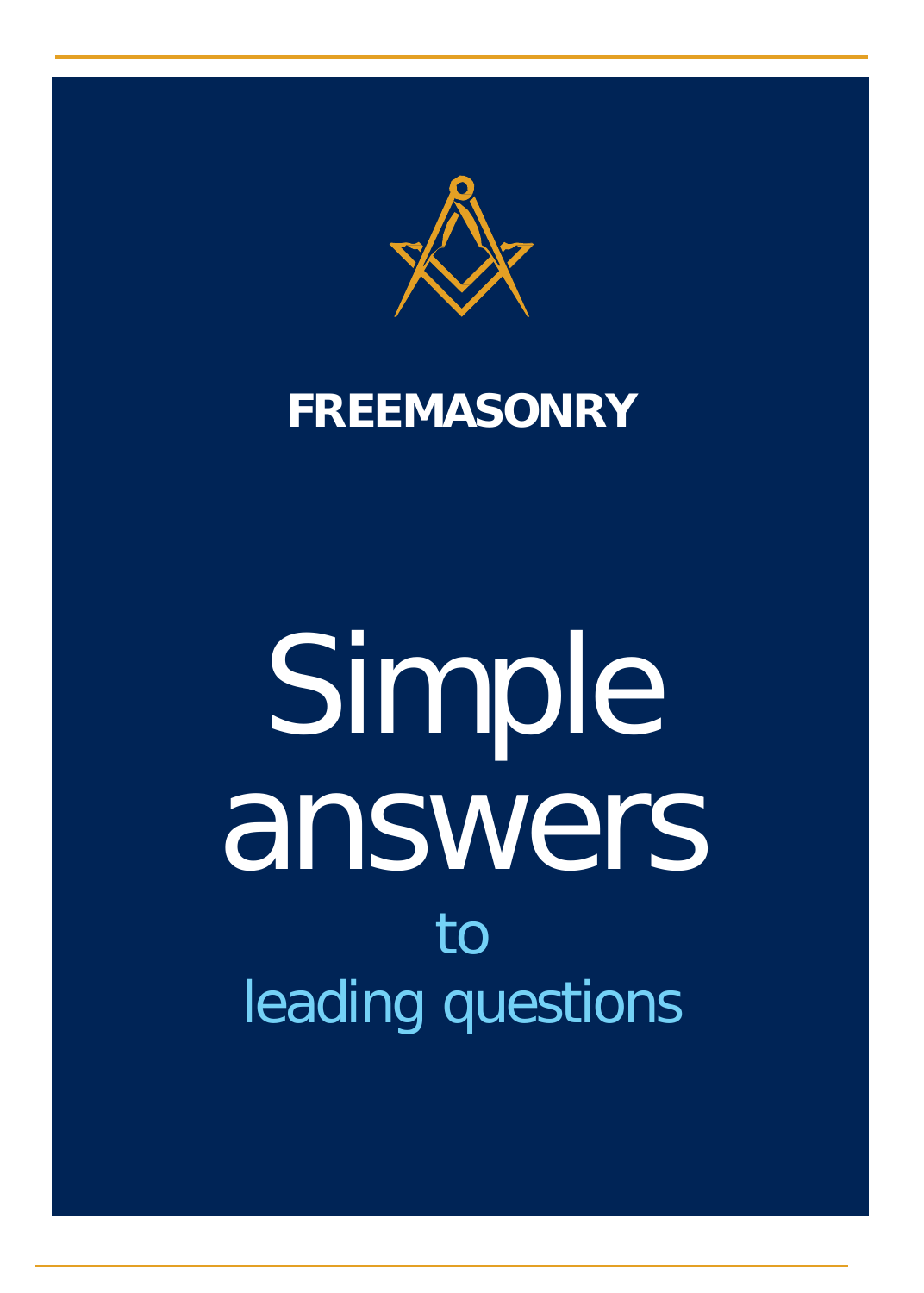

### **FREEMASONRY**

# Simple answers to leading questions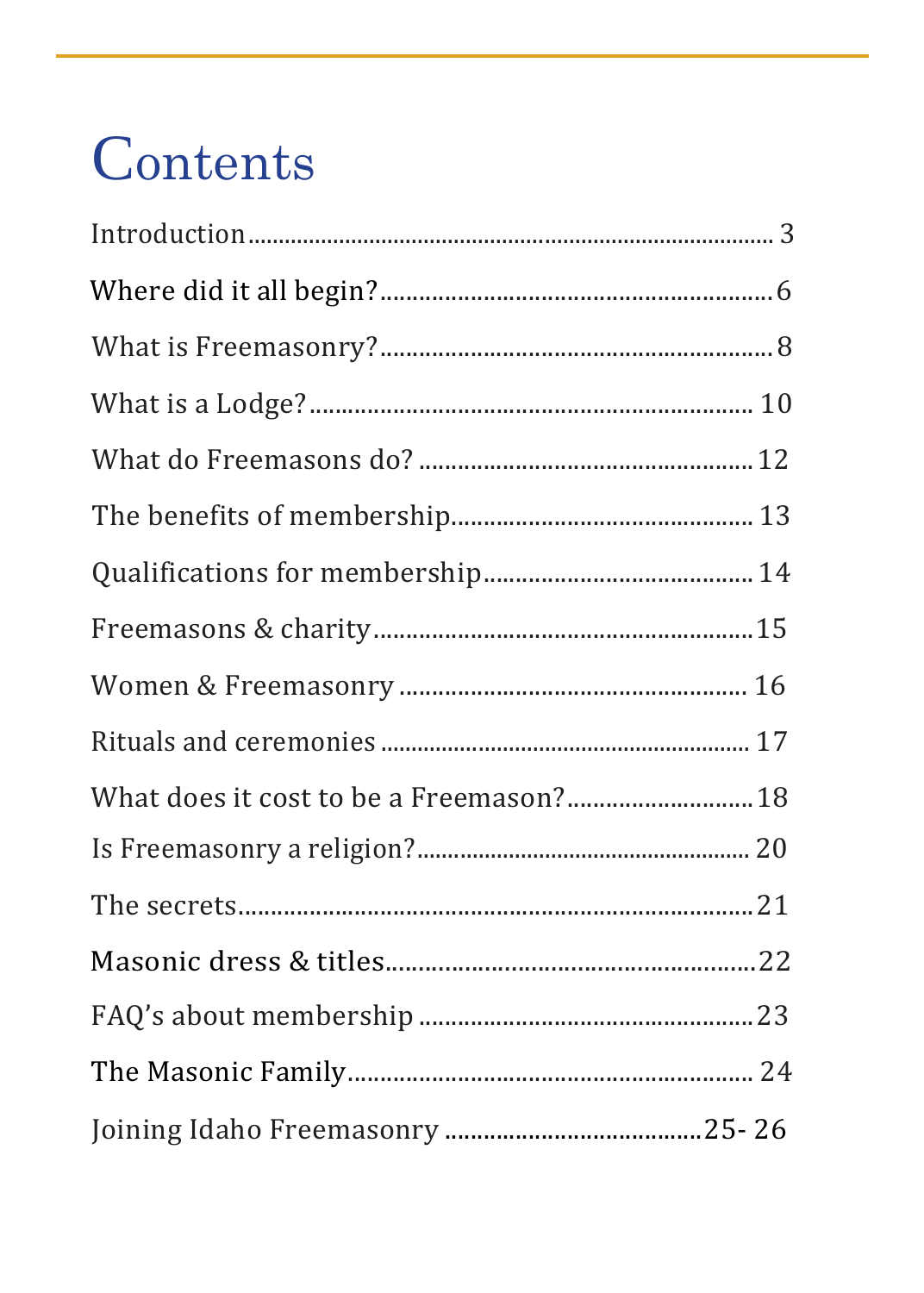### Contents

| What does it cost to be a Freemason? 18 |  |
|-----------------------------------------|--|
|                                         |  |
|                                         |  |
|                                         |  |
|                                         |  |
|                                         |  |
|                                         |  |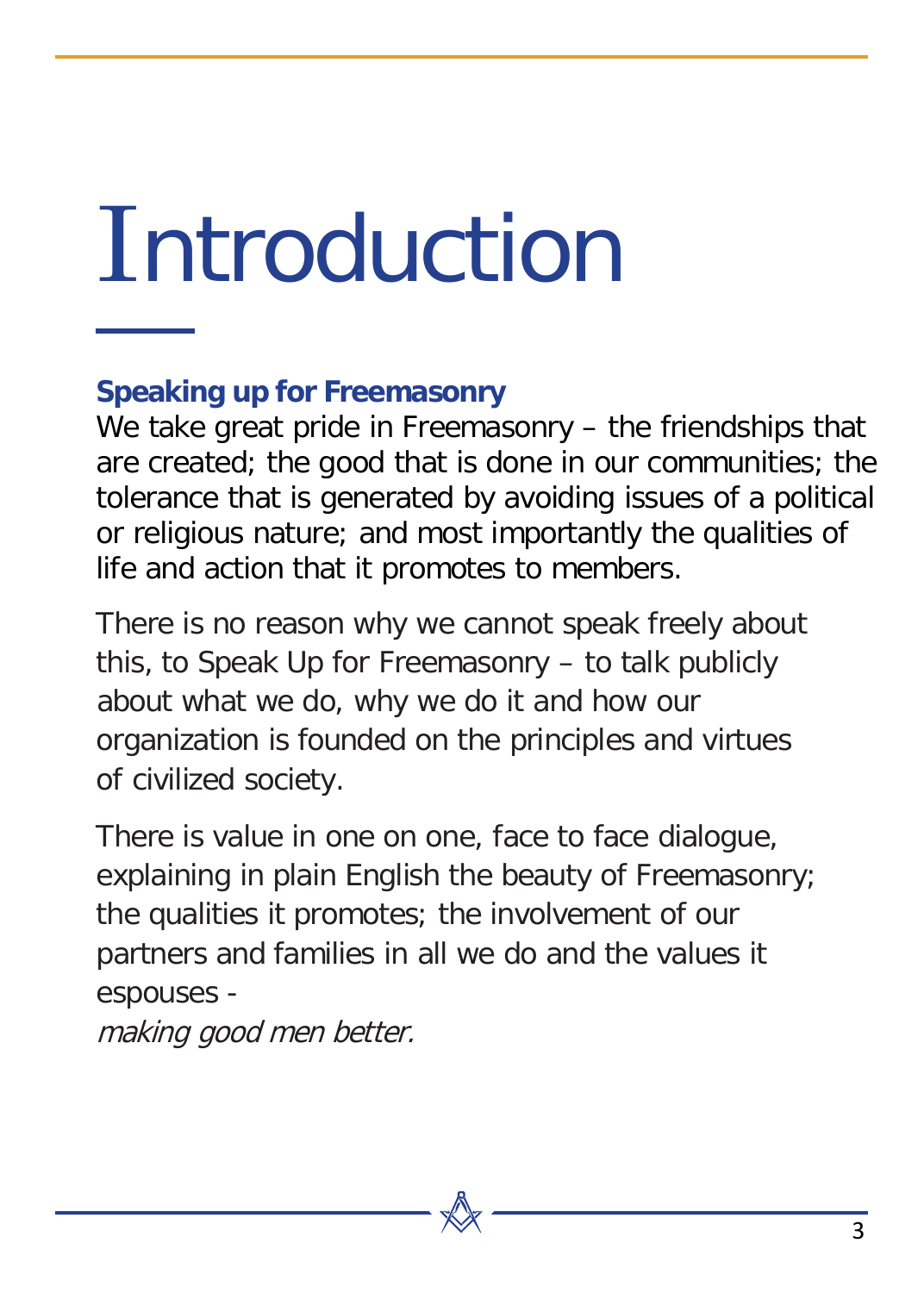# <span id="page-2-0"></span>**Introduction**

#### **Speaking up for Freemasonry**

We take great pride in Freemasonry – the friendships that are created; the good that is done in our communities; the tolerance that is generated by avoiding issues of a political or religious nature; and most importantly the qualities of life and action that it promotes to members.

There is no reason why we cannot speak freely about this, to Speak Up for Freemasonry – to talk publicly about what we do, why we do it and how our organization is founded on the principles and virtues of civilized society.

There is value in one on one, face to face dialogue, explaining in plain English the beauty of Freemasonry; the qualities it promotes; the involvement of our partners and families in all we do and the values it espouses -

making good men better.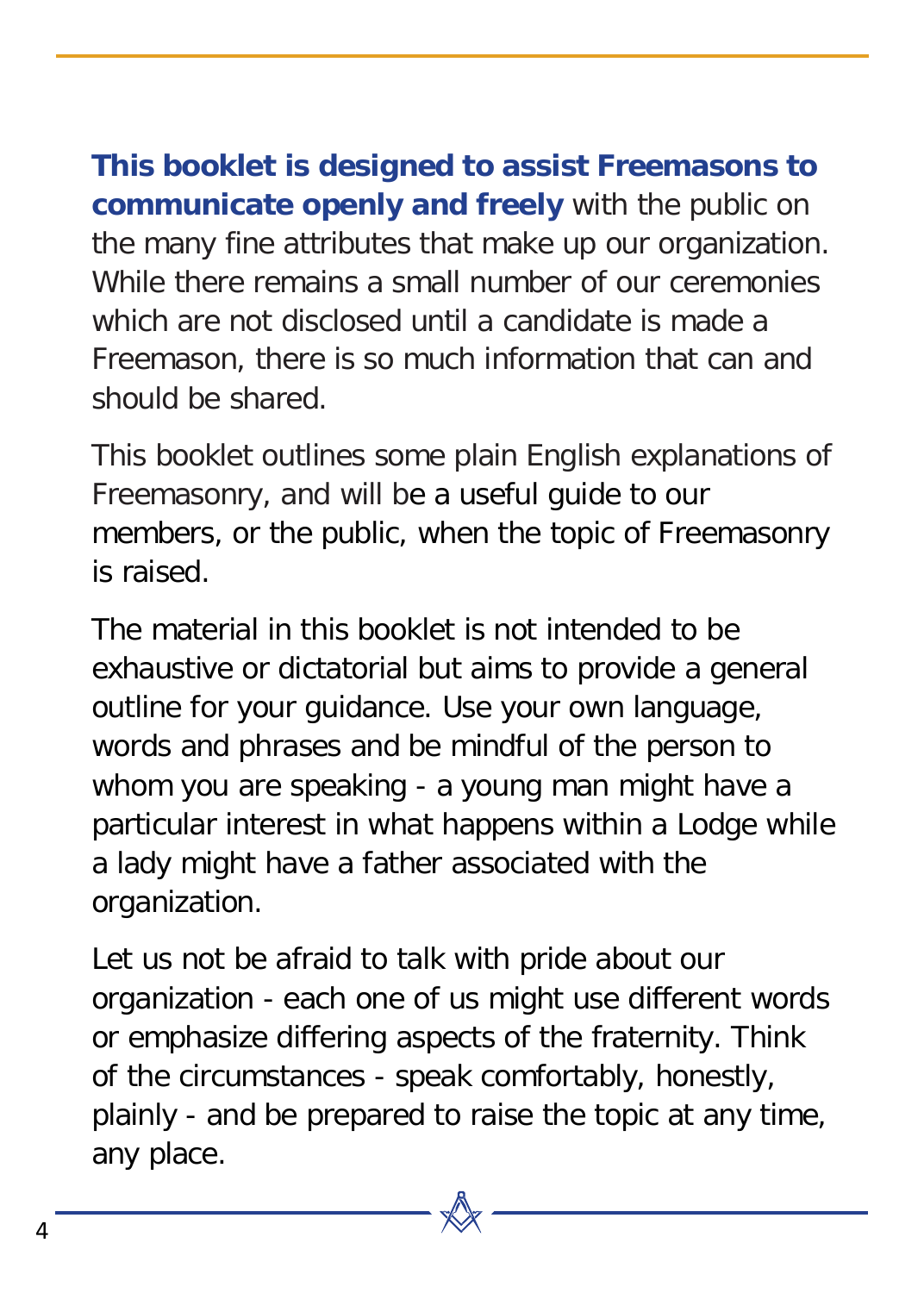**This booklet is designed to assist Freemasons to communicate openly and freely** with the public on the many fine attributes that make up our organization. While there remains a small number of our ceremonies which are not disclosed until a candidate is made a Freemason, there is so much information that can and should be shared.

This booklet outlines some plain English explanations of Freemasonry, and will be a useful guide to our members, or the public, when the topic of Freemasonry is raised.

The material in this booklet is not intended to be exhaustive or dictatorial but aims to provide a general outline for your guidance. Use your own language, words and phrases and be mindful of the person to whom you are speaking - a young man might have a particular interest in what happens within a Lodge while a lady might have a father associated with the organization.

Let us not be afraid to talk with pride about our organization - each one of us might use different words or emphasize differing aspects of the fraternity. Think of the circumstances - speak comfortably, honestly, plainly - and be prepared to raise the topic at any time, any place.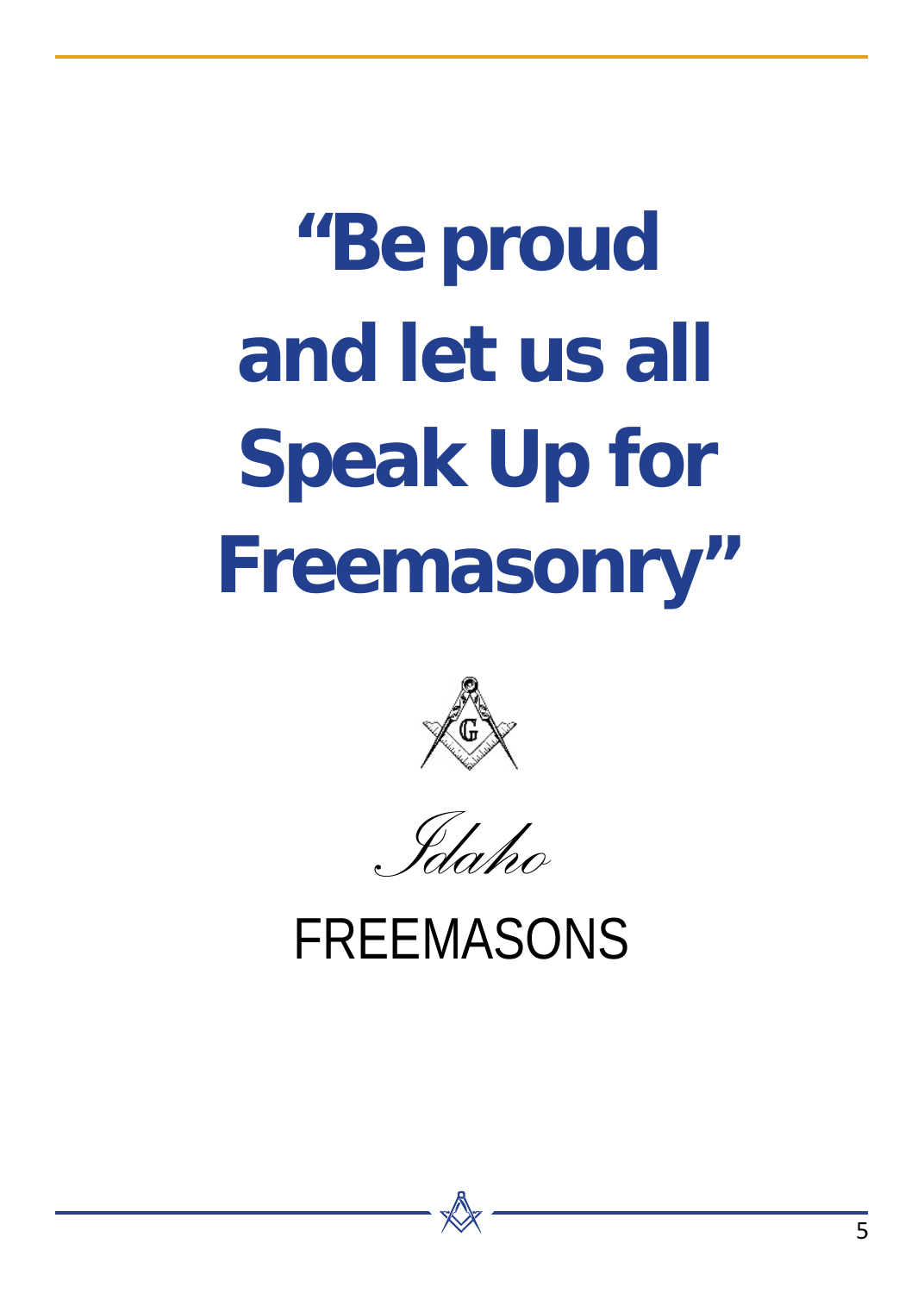# **"Be proud and let us all Speak Up for Freemasonry"**



*Idaho*

**FREEMASONS**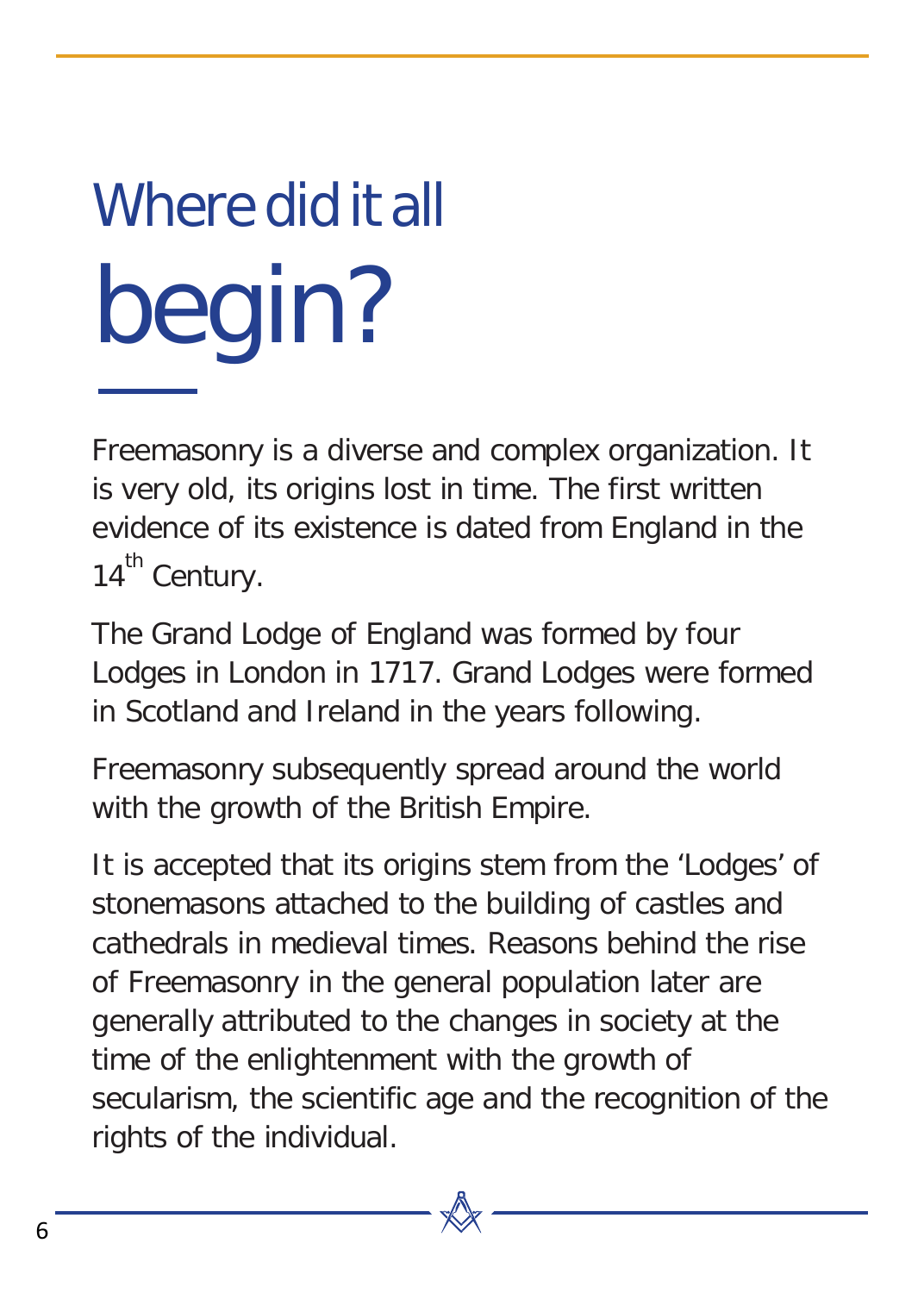# Where did it all begin?

Freemasonry is a diverse and complex organization. It is very old, its origins lost in time. The first written evidence of its existence is dated from England in the 14<sup>th</sup> Century.

The Grand Lodge of England was formed by four Lodges in London in 1717. Grand Lodges were formed in Scotland and Ireland in the years following.

Freemasonry subsequently spread around the world with the growth of the British Empire.

It is accepted that its origins stem from the 'Lodges' of stonemasons attached to the building of castles and cathedrals in medieval times. Reasons behind the rise of Freemasonry in the general population later are generally attributed to the changes in society at the time of the enlightenment with the growth of secularism, the scientific age and the recognition of the rights of the individual.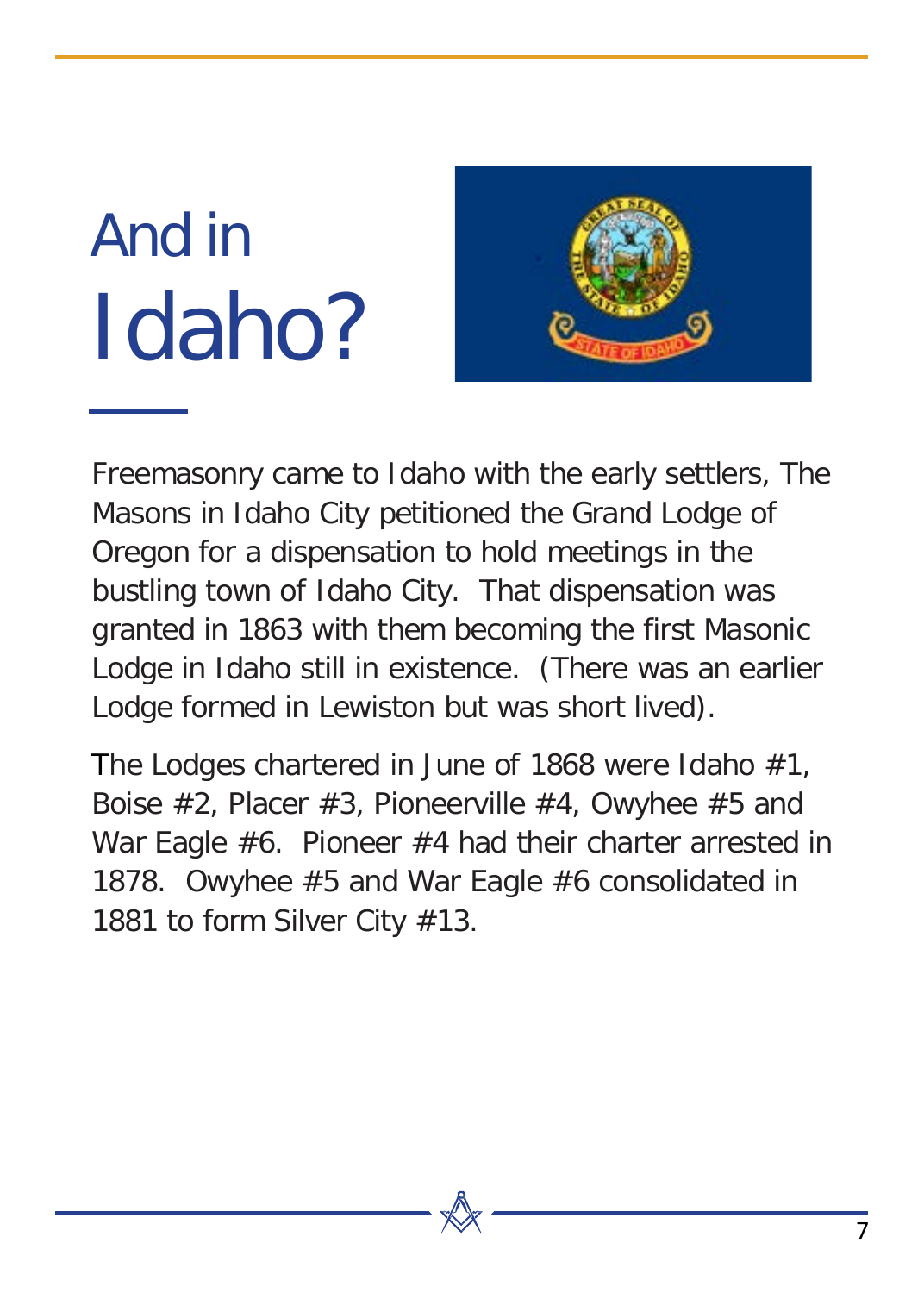### And in Idaho?



Freemasonry came to Idaho with the early settlers, The Masons in Idaho City petitioned the Grand Lodge of Oregon for a dispensation to hold meetings in the bustling town of Idaho City. That dispensation was granted in 1863 with them becoming the first Masonic Lodge in Idaho still in existence. (There was an earlier Lodge formed in Lewiston but was short lived).

The Lodges chartered in June of 1868 were Idaho #1, Boise #2, Placer #3, Pioneerville #4, Owyhee #5 and War Eagle #6. Pioneer #4 had their charter arrested in 1878. Owyhee #5 and War Eagle #6 consolidated in 1881 to form Silver City #13.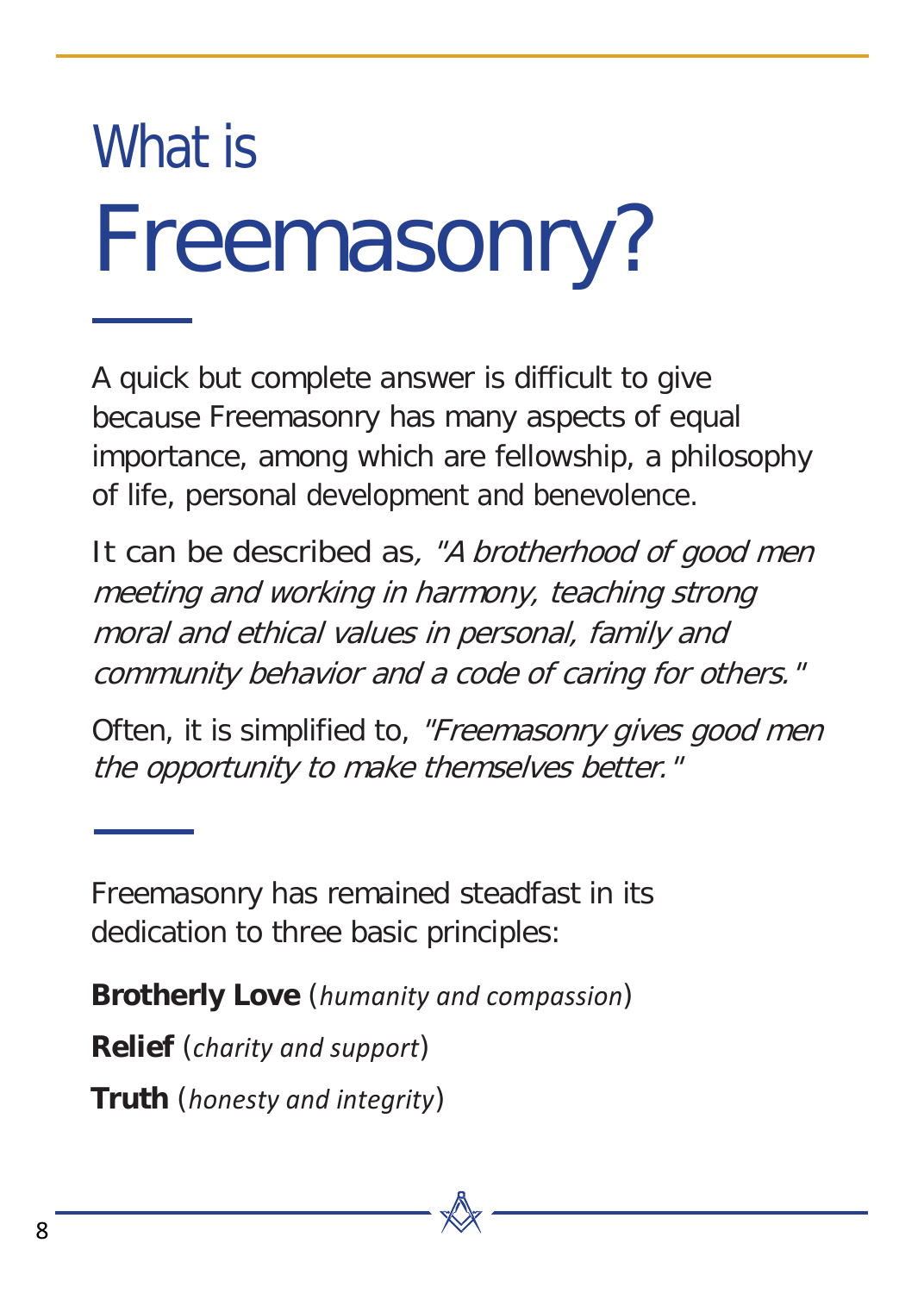## What is Freemasonry?

A quick but complete answer is difficult to give because Freemasonry has many aspects of equal importance, among which are fellowship, a philosophy of life, personal development and benevolence.

It can be described as, "A brotherhood of good men meeting and working in harmony, teaching strong moral and ethical values in personal, family and community behavior and a code of caring for others."

Often, it is simplified to, "Freemasonry gives good men the opportunity to make themselves better."

Freemasonry has remained steadfast in its dedication to three basic principles:

**Brotherly Love** (*humanity and compassion*)

**Relief** (*charity and support*)

**Truth** (*honesty and integrity*)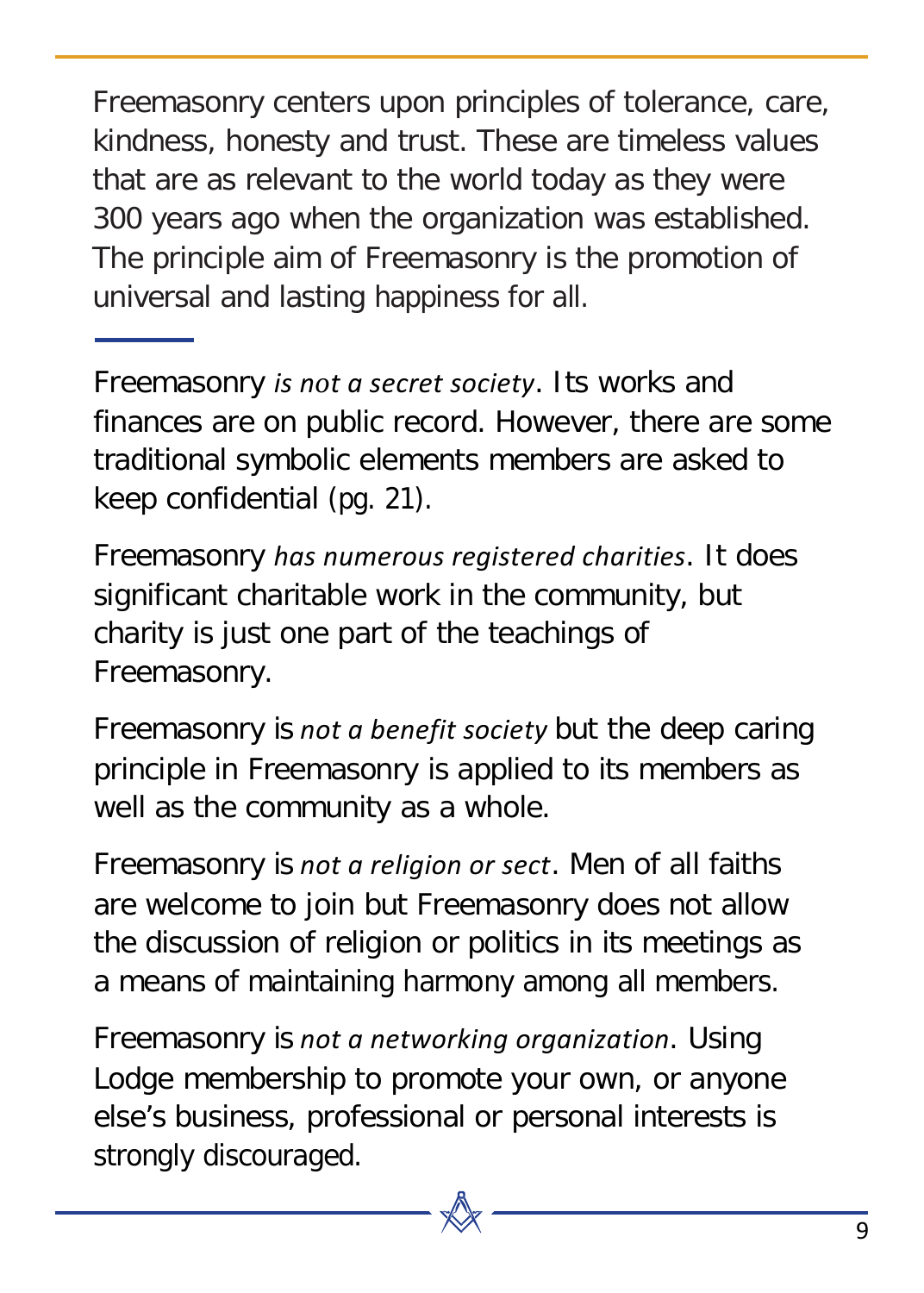Freemasonry centers upon principles of tolerance, care, kindness, honesty and trust. These are timeless values that are as relevant to the world today as they were 300 years ago when the organization was established. The principle aim of Freemasonry is the promotion of universal and lasting happiness for all.

Freemasonry *is not a secret society*. Its works and finances are on public record. However, there are some traditional symbolic elements members are asked to keep confidential (pg. 21).

Freemasonry *has numerous registered charities*. It does significant charitable work in the community, but charity is just one part of the teachings of Freemasonry.

Freemasonry *is not a benefit society* but the deep caring principle in Freemasonry is applied to its members as well as the community as a whole.

Freemasonry *is not a religion or sect*. Men of all faiths are welcome to join but Freemasonry does not allow the discussion of religion or politics in its meetings as a means of maintaining harmony among all members.

Freemasonry *is not a networking organization*. Using Lodge membership to promote your own, or anyone else's business, professional or personal interests is strongly discouraged.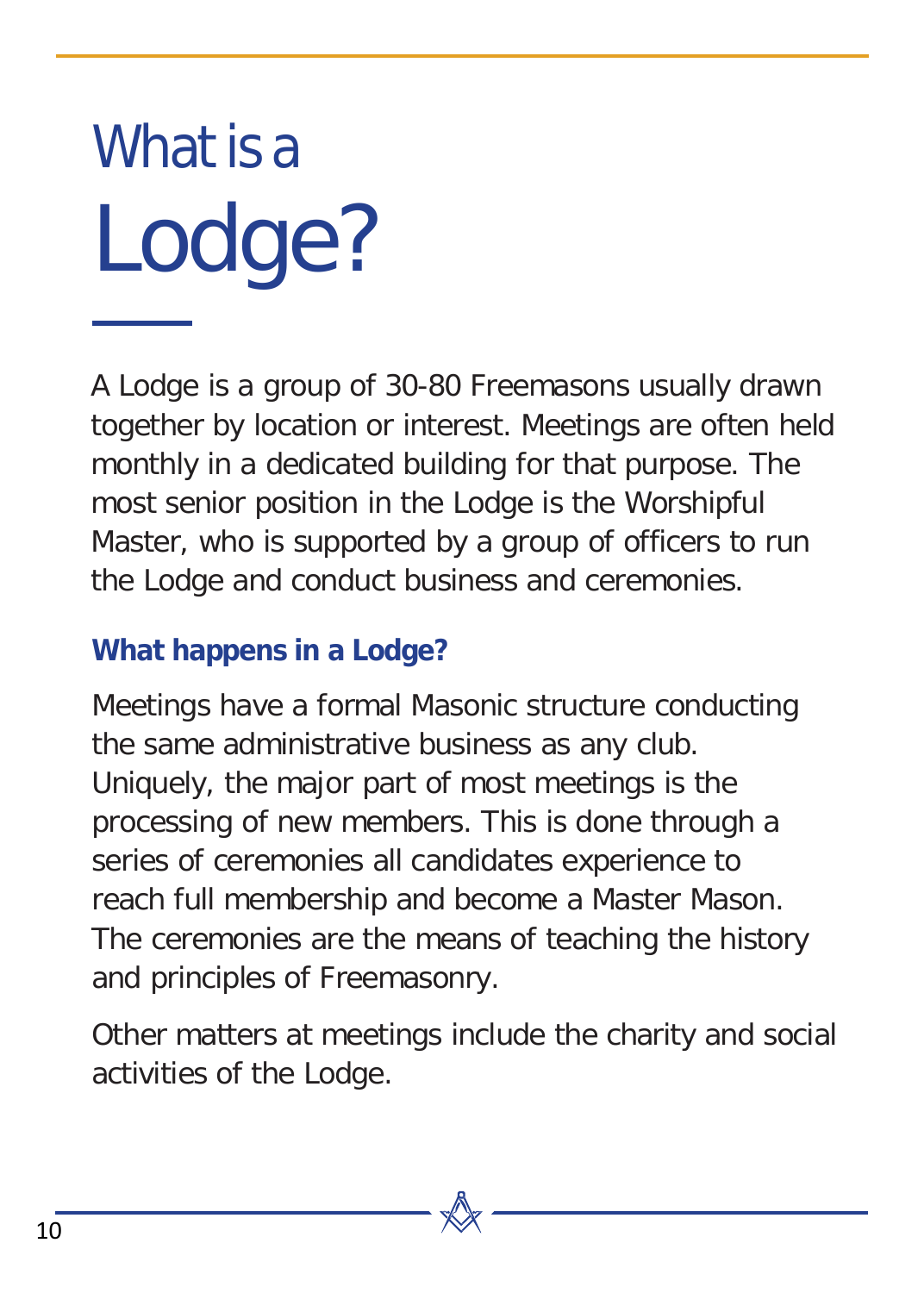# What is a Lodge?

A Lodge is a group of 30-80 Freemasons usually drawn together by location or interest. Meetings are often held monthly in a dedicated building for that purpose. The most senior position in the Lodge is the Worshipful Master, who is supported by a group of officers to run the Lodge and conduct business and ceremonies.

#### **What happens in a Lodge?**

Meetings have a formal Masonic structure conducting the same administrative business as any club. Uniquely, the major part of most meetings is the processing of new members. This is done through a series of ceremonies all candidates experience to reach full membership and become a Master Mason. The ceremonies are the means of teaching the history and principles of Freemasonry.

Other matters at meetings include the charity and social activities of the Lodge.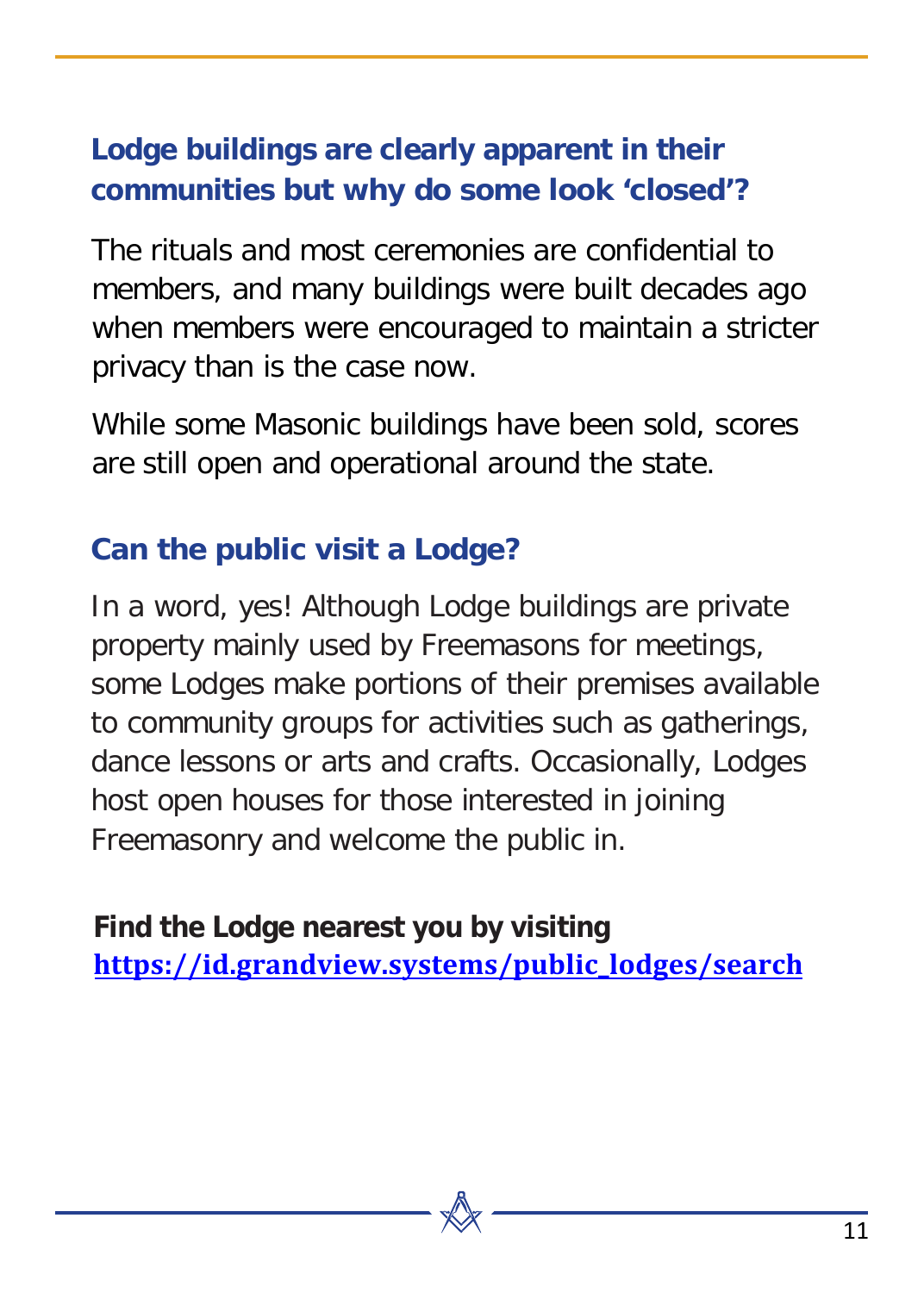#### **Lodge buildings are clearly apparent in their communities but why do some look 'closed'?**

The rituals and most ceremonies are confidential to members, and many buildings were built decades ago when members were encouraged to maintain a stricter privacy than is the case now.

While some Masonic buildings have been sold, scores are still open and operational around the state.

#### **Can the public visit a Lodge?**

In a word, yes! Although Lodge buildings are private property mainly used by Freemasons for meetings, some Lodges make portions of their premises available to community groups for activities such as gatherings, dance lessons or arts and crafts. Occasionally, Lodges host open houses for those interested in joining Freemasonry and welcome the public in.

**Find the Lodge nearest you by visiting [https://id.grandview.systems/publi](https://id.grandview.systems/public_lodges/search)c\_lodges/search**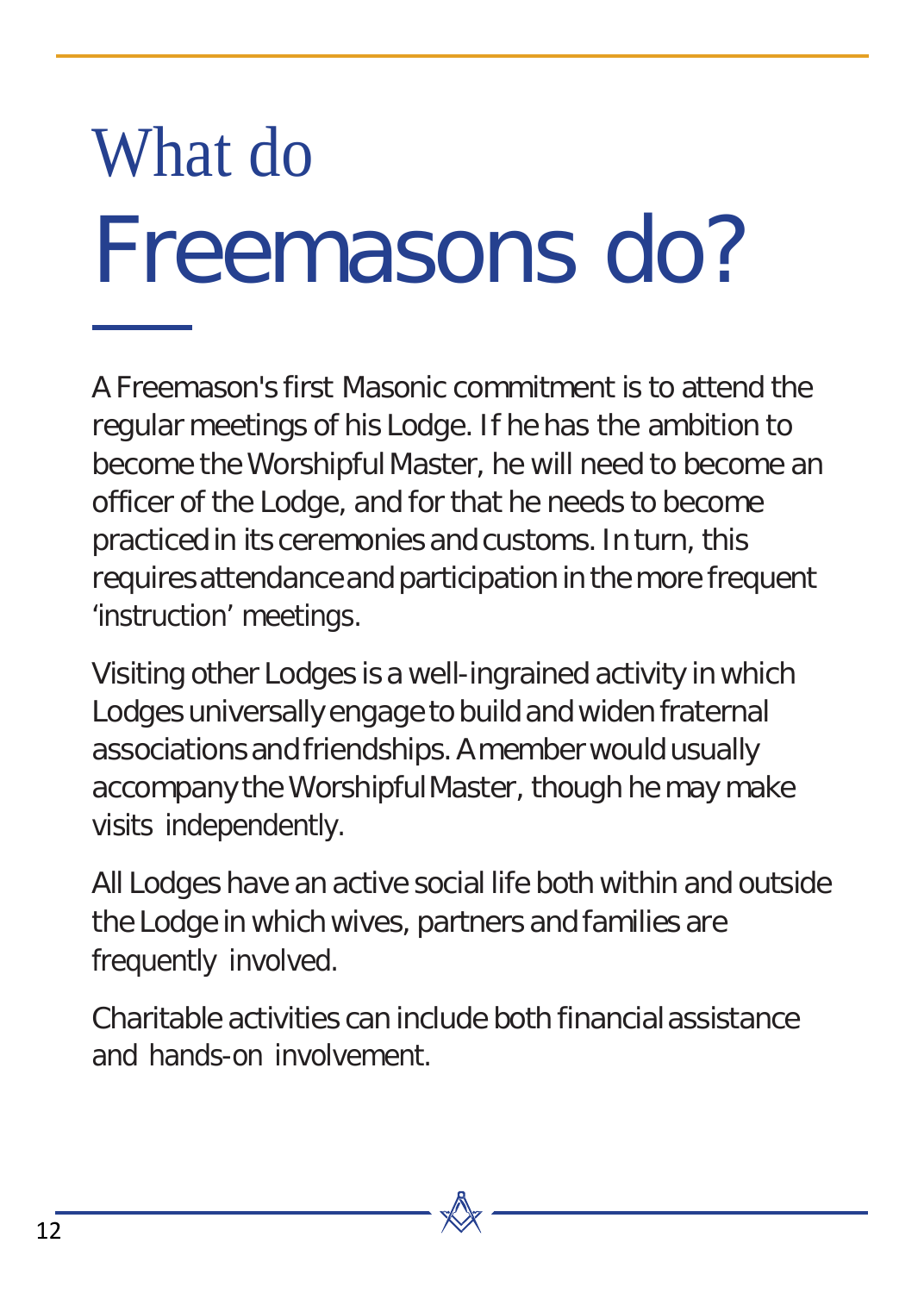# What do Freemasons do?

A Freemason's first Masonic commitment is to attend the regular meetings of his Lodge. If he has the ambition to become the Worshipful Master, he will need to become an officer of the Lodge, and for that he needs to become practiced in its ceremonies and customs. In turn, this requiresattendanceand participation in the more frequent 'instruction' meetings.

Visiting other Lodges is a well-ingrained activity in which Lodges universally engage to build and widen fraternal associations and friendships. A member would usually accompany the WorshipfulMaster, though he may make visits independently.

All Lodges have an active social life both within and outside the Lodge in which wives, partners and families are frequently involved.

Charitable activities can include both financial assistance and hands-on involvement.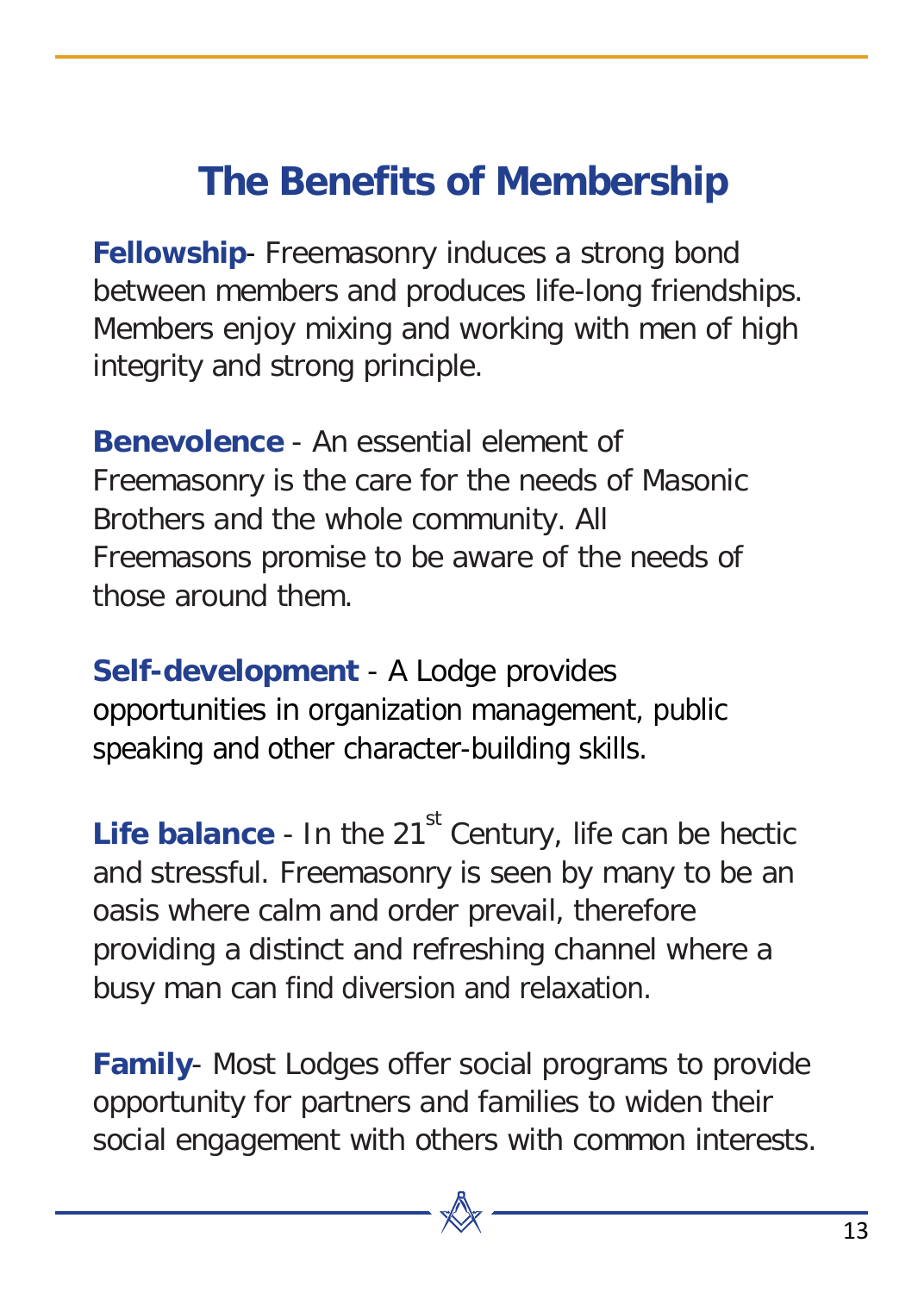#### **The Benefits of Membership**

<span id="page-12-0"></span>**Fellowship**- Freemasonry induces a strong bond between members and produces life-long friendships. Members enjoy mixing and working with men of high integrity and strong principle.

**Benevolence** - An essential element of Freemasonry is the care for the needs of Masonic Brothers and the whole community. All Freemasons promise to be aware of the needs of those around them.

**Self-development** - A Lodge provides opportunities in organization management, public speaking and other character-building skills.

**Life balance** - In the 21<sup>st</sup> Century, life can be hectic and stressful. Freemasonry is seen by many to be an oasis where calm and order prevail, therefore providing a distinct and refreshing channel where a busy man can find diversion and relaxation.

**Family**- Most Lodges offer social programs to provide opportunity for partners and families to widen their social engagement with others with common interests.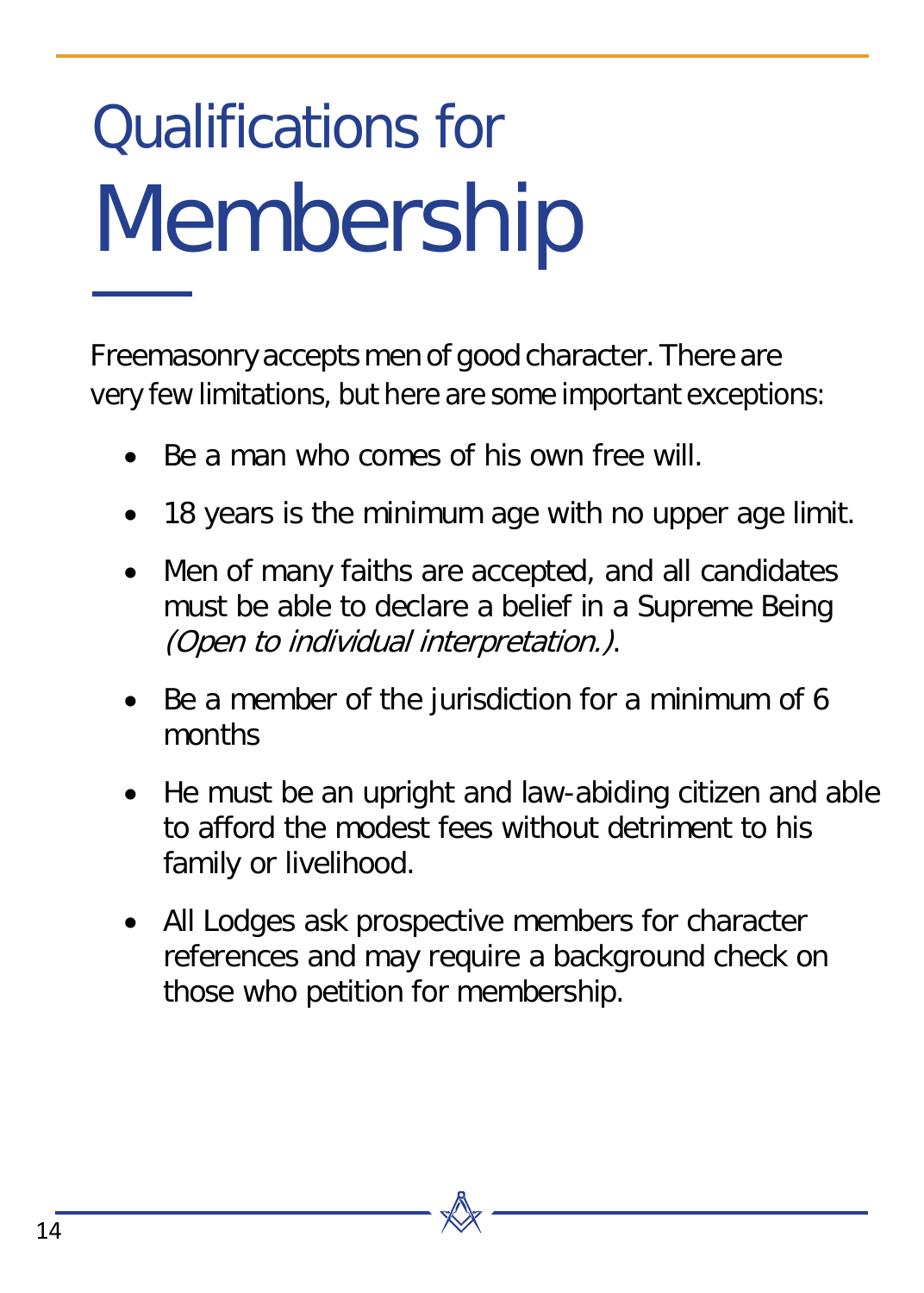## Qualifications for Membership

Freemasonry accepts men of good character. There are very few limitations, but here are some important exceptions:

- Be a man who comes of his own free will
- 18 years is the minimum age with no upper age limit.
- Men of many faiths are accepted, and all candidates must be able to declare a belief in a Supreme Being (Open to individual interpretation.).
- Be a member of the jurisdiction for a minimum of 6 months
- He must be an upright and law-abiding citizen and able to afford the modest fees without detriment to his family or livelihood.
- All Lodges ask prospective members for character references and may require a background check on those who petition for membership.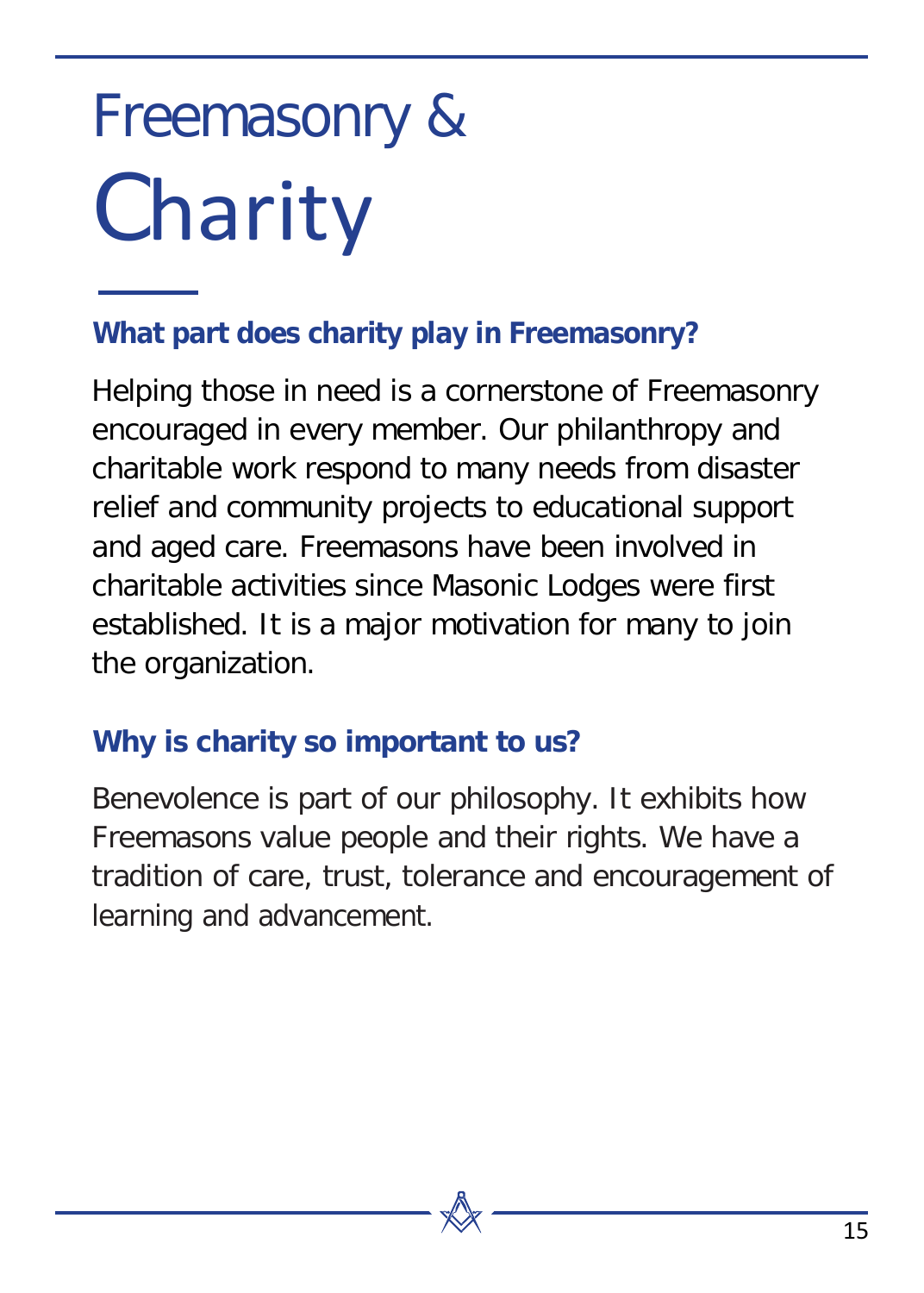## Freemasonry & **Charity**

#### **What part does charity play in Freemasonry?**

Helping those in need is a cornerstone of Freemasonry encouraged in every member. Our philanthropy and charitable work respond to many needs from disaster relief and community projects to educational support and aged care. Freemasons have been involved in charitable activities since Masonic Lodges were first established. It is a major motivation for many to join the organization.

#### **Why is charity so important to us?**

Benevolence is part of our philosophy. It exhibits how Freemasons value people and their rights. We have a tradition of care, trust, tolerance and encouragement of learning and advancement.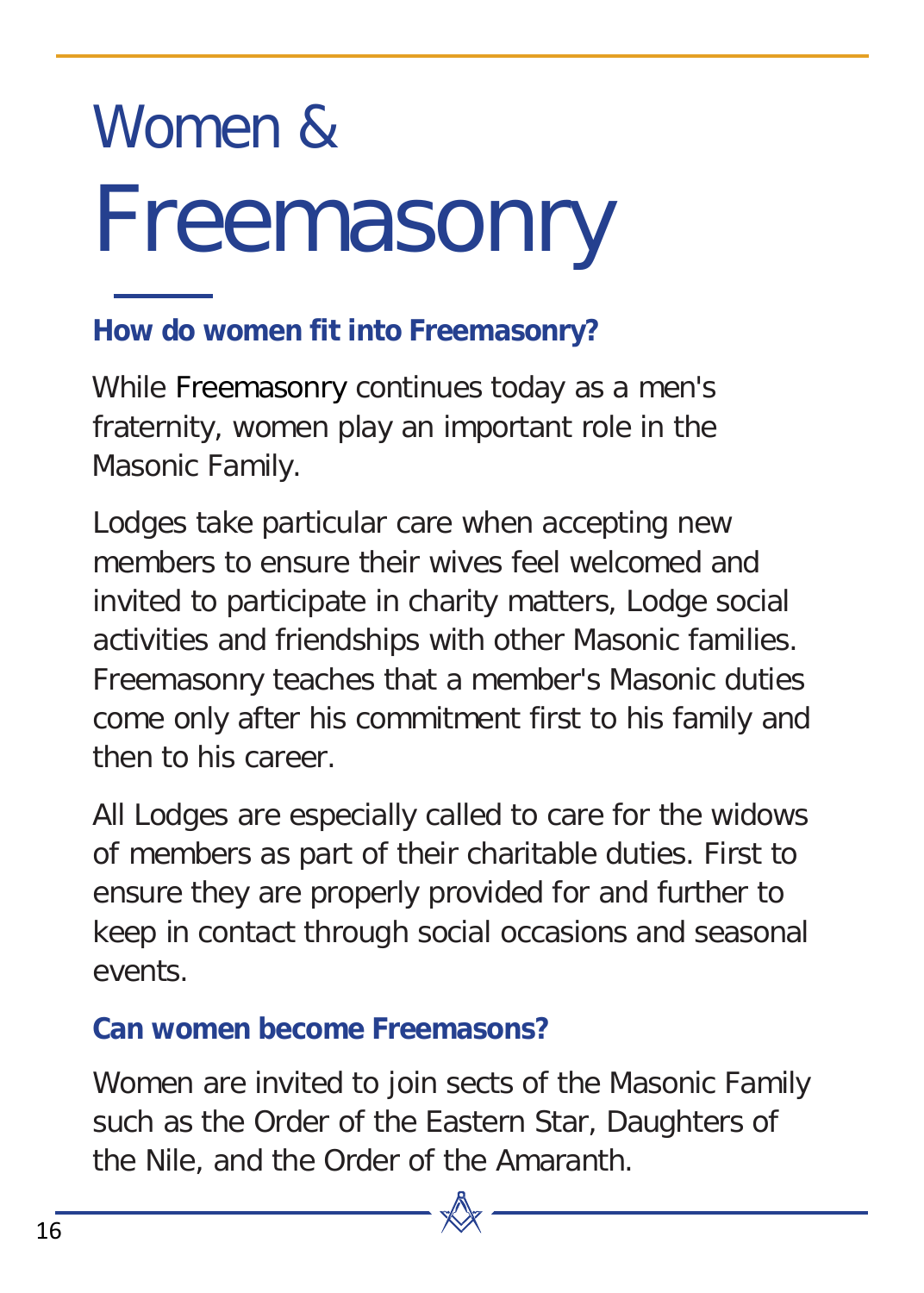## Women & Freemasonry

#### **How do women fit into Freemasonry?**

While Freemasonry continues today as a men's fraternity, women play an important role in the Masonic Family.

Lodges take particular care when accepting new members to ensure their wives feel welcomed and invited to participate in charity matters, Lodge social activities and friendships with other Masonic families. Freemasonry teaches that a member's Masonic duties come only after his commitment first to his family and then to his career.

All Lodges are especially called to care for the widows of members as part of their charitable duties. First to ensure they are properly provided for and further to keep in contact through social occasions and seasonal events.

#### **Can women become Freemasons?**

Women are invited to join sects of the Masonic Family such as the Order of the Eastern Star, Daughters of the Nile, and the Order of the Amaranth.

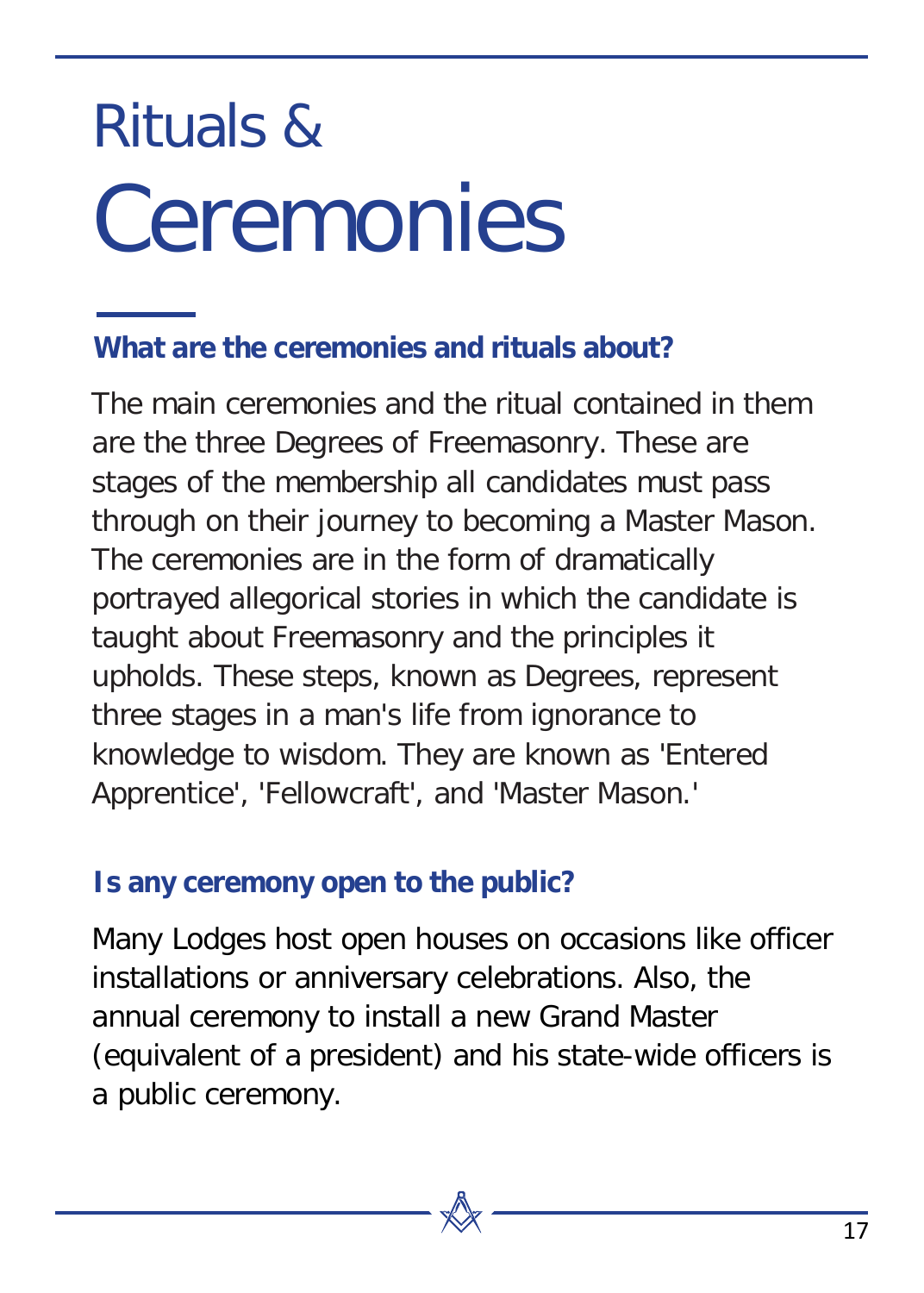## Rituals & **Ceremonies**

#### **What are the ceremonies and rituals about?**

The main ceremonies and the ritual contained in them are the three Degrees of Freemasonry. These are stages of the membership all candidates must pass through on their journey to becoming a Master Mason. The ceremonies are in the form of dramatically portrayed allegorical stories in which the candidate is taught about Freemasonry and the principles it upholds. These steps, known as Degrees, represent three stages in a man's life from ignorance to knowledge to wisdom. They are known as 'Entered Apprentice', 'Fellowcraft', and 'Master Mason.'

#### **Is any ceremony open to the public?**

Many Lodges host open houses on occasions like officer installations or anniversary celebrations. Also, the annual ceremony to install a new Grand Master (equivalent of a president) and his state-wide officers is a public ceremony.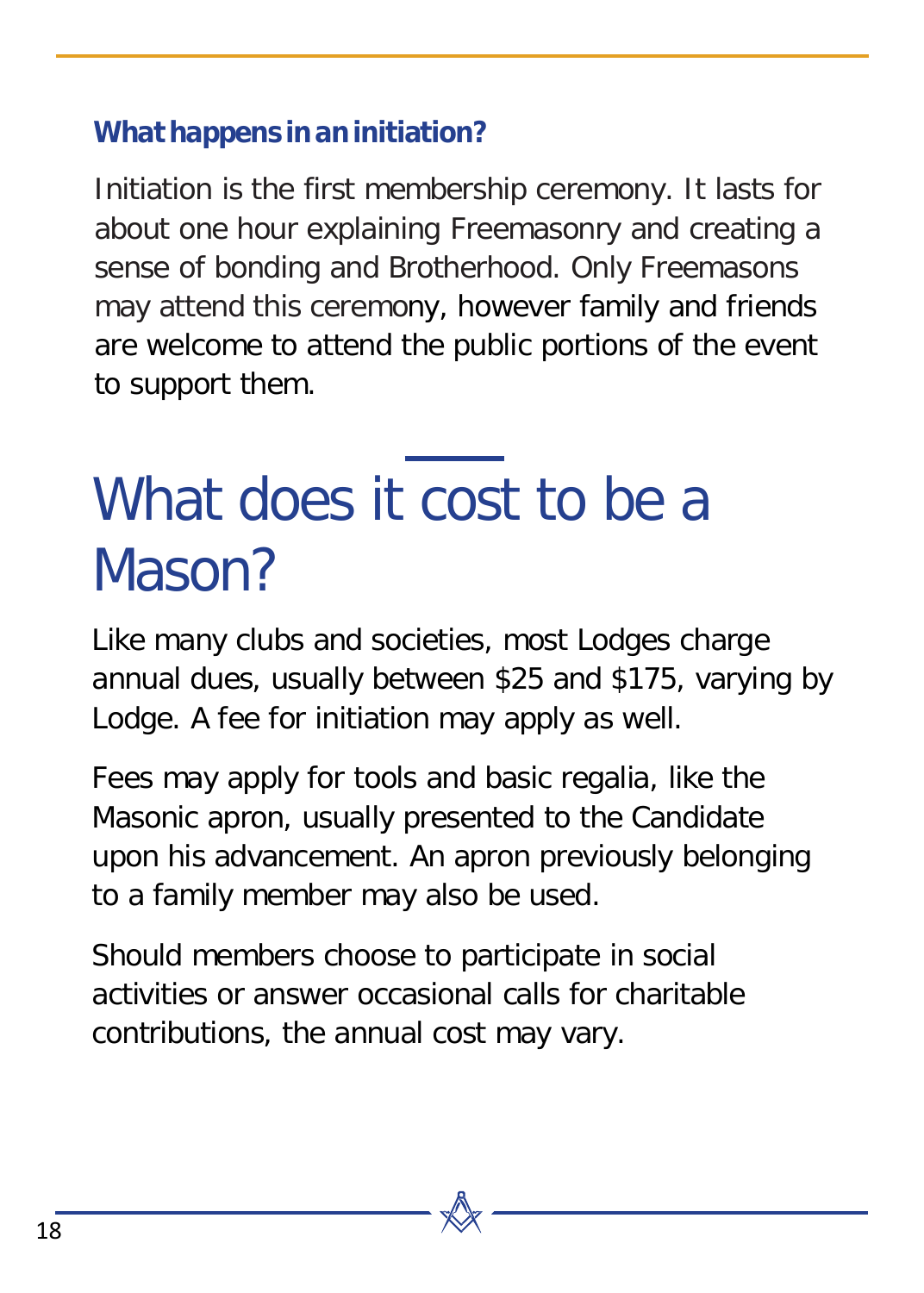#### **What happens in an initiation?**

Initiation is the first membership ceremony. It lasts for about one hour explaining Freemasonry and creating a sense of bonding and Brotherhood. Only Freemasons may attend this ceremony, however family and friends are welcome to attend the public portions of the event to support them.

### What does it cost to be a Mason?

Like many clubs and societies, most Lodges charge annual dues, usually between \$25 and \$175, varying by Lodge. A fee for initiation may apply as well.

Fees may apply for tools and basic regalia, like the Masonic apron, usually presented to the Candidate upon his advancement. An apron previously belonging to a family member may also be used.

Should members choose to participate in social activities or answer occasional calls for charitable contributions, the annual cost may vary.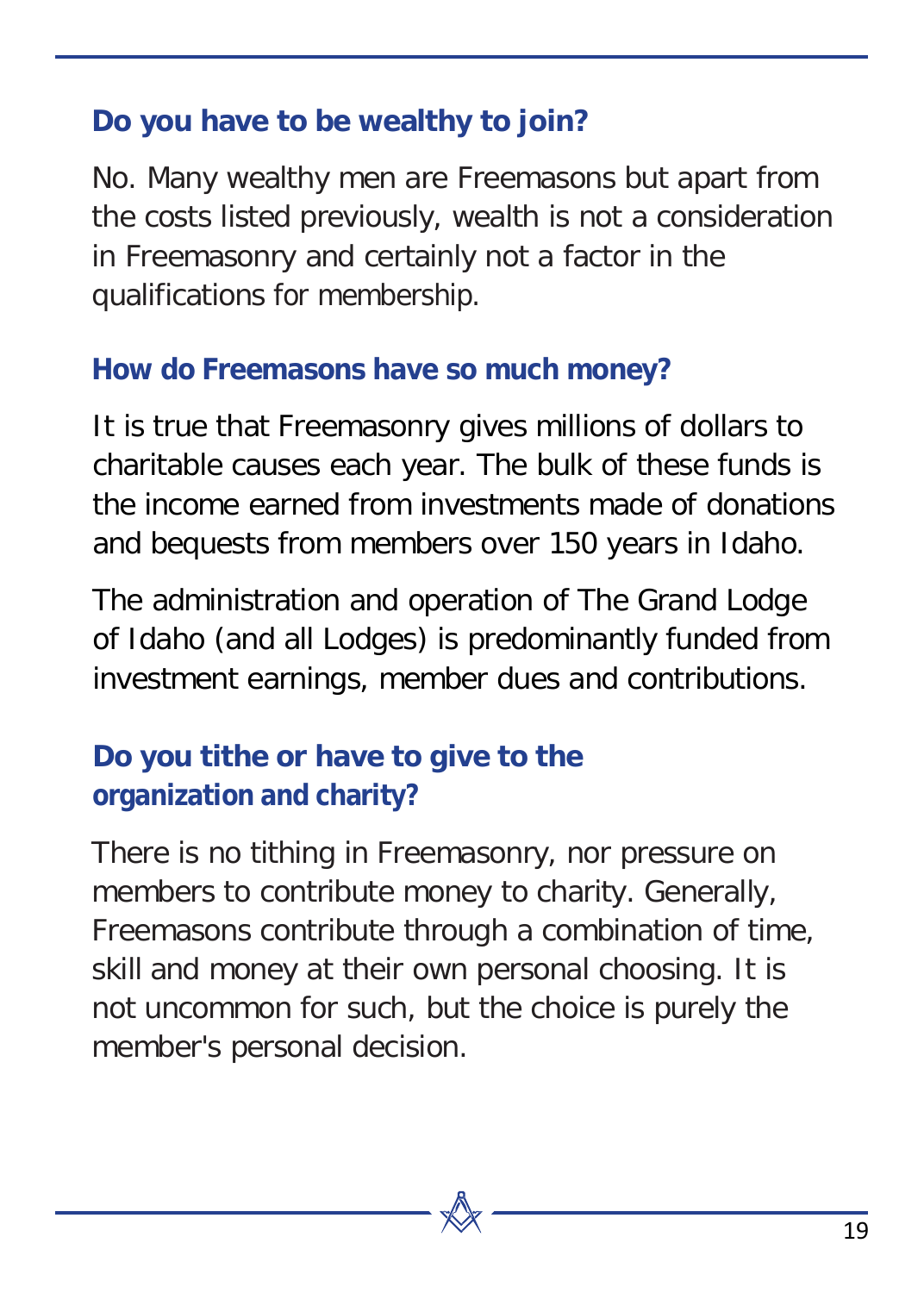#### **Do you have to be wealthy to join?**

No. Many wealthy men are Freemasons but apart from the costs listed previously, wealth is not a consideration in Freemasonry and certainly not a factor in the qualifications for membership.

#### **How do Freemasons have so much money?**

It is true that Freemasonry gives millions of dollars to charitable causes each year. The bulk of these funds is the income earned from investments made of donations and bequests from members over 150 years in Idaho.

The administration and operation of The Grand Lodge of Idaho (and all Lodges) is predominantly funded from investment earnings, member dues and contributions.

#### **Do you tithe or have to give to the organization and charity?**

There is no tithing in Freemasonry, nor pressure on members to contribute money to charity. Generally, Freemasons contribute through a combination of time, skill and money at their own personal choosing. It is not uncommon for such, but the choice is purely the member's personal decision.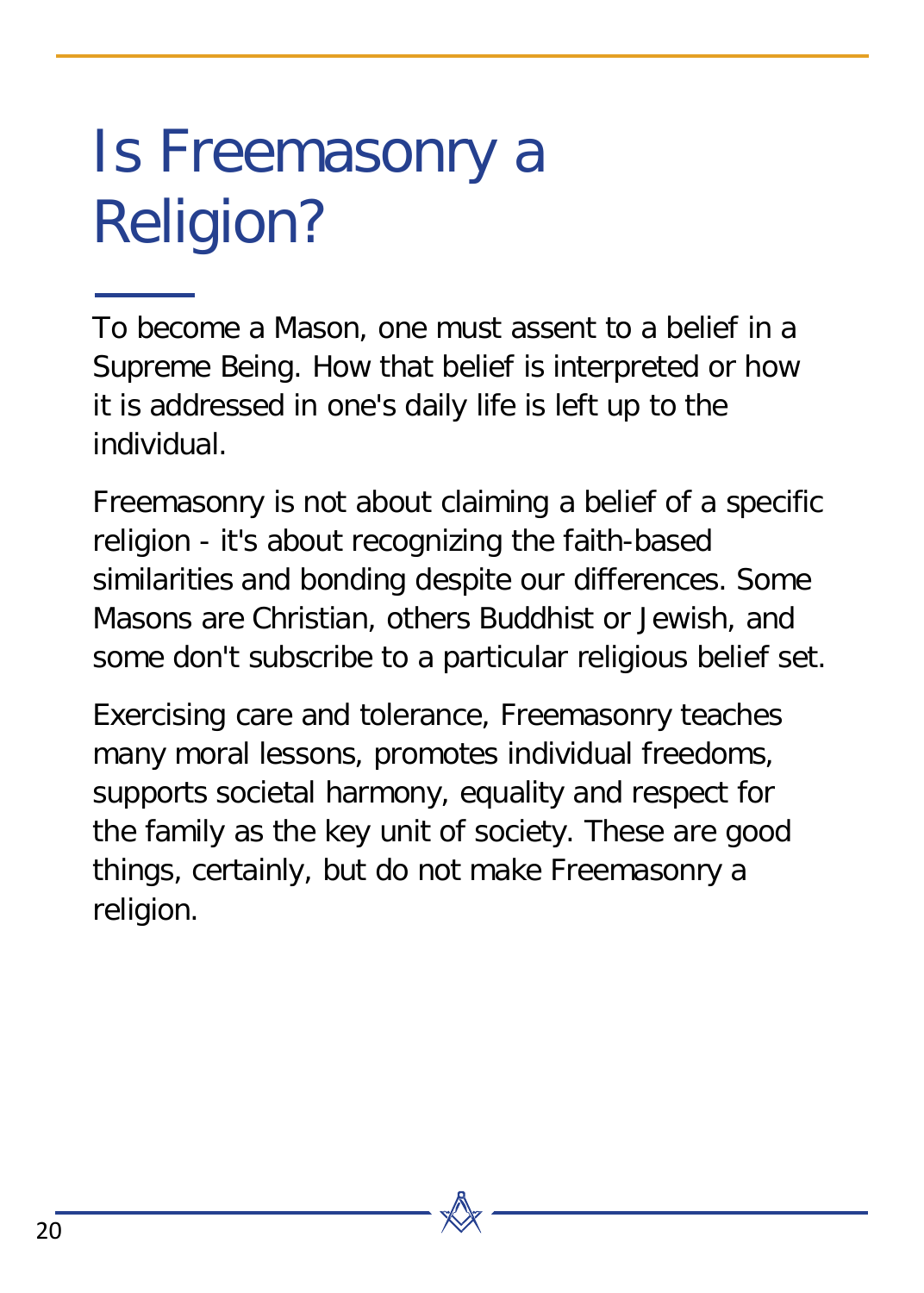### Is Freemasonry a Religion?

To become a Mason, one must assent to a belief in a Supreme Being. How that belief is interpreted or how it is addressed in one's daily life is left up to the individual.

Freemasonry is not about claiming a belief of a specific religion - it's about recognizing the faith-based similarities and bonding despite our differences. Some Masons are Christian, others Buddhist or Jewish, and some don't subscribe to a particular religious belief set.

Exercising care and tolerance, Freemasonry teaches many moral lessons, promotes individual freedoms, supports societal harmony, equality and respect for the family as the key unit of society. These are good things, certainly, but do not make Freemasonry a religion.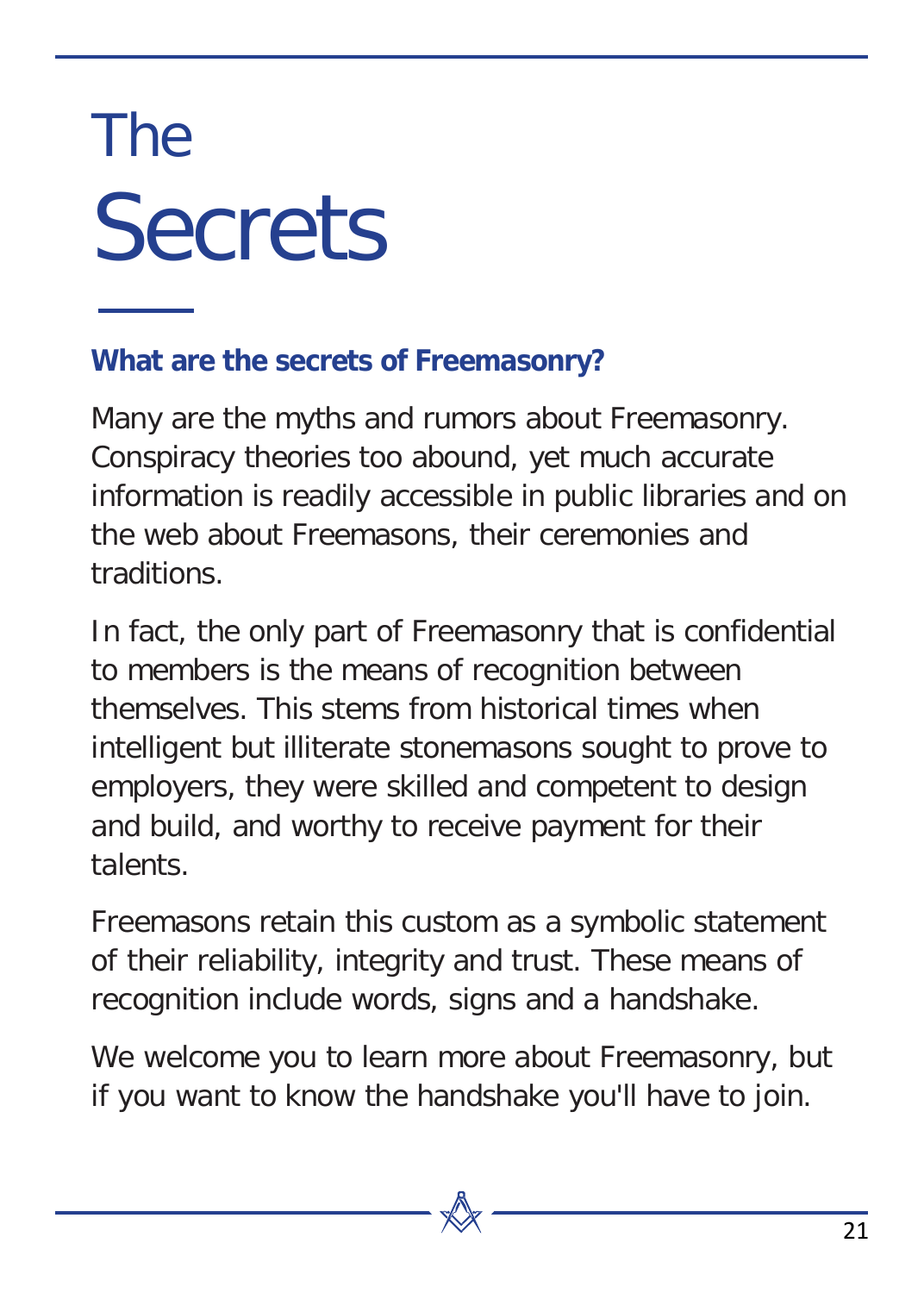## The **Secrets**

#### **What are the secrets of Freemasonry?**

Many are the myths and rumors about Freemasonry. Conspiracy theories too abound, yet much accurate information is readily accessible in public libraries and on the web about Freemasons, their ceremonies and traditions.

In fact, the only part of Freemasonry that is confidential to members is the means of recognition between themselves. This stems from historical times when intelligent but illiterate stonemasons sought to prove to employers, they were skilled and competent to design and build, and worthy to receive payment for their talents.

Freemasons retain this custom as a symbolic statement of their reliability, integrity and trust. These means of recognition include words, signs and a handshake.

We welcome you to learn more about Freemasonry, but if you want to know the handshake you'll have to join.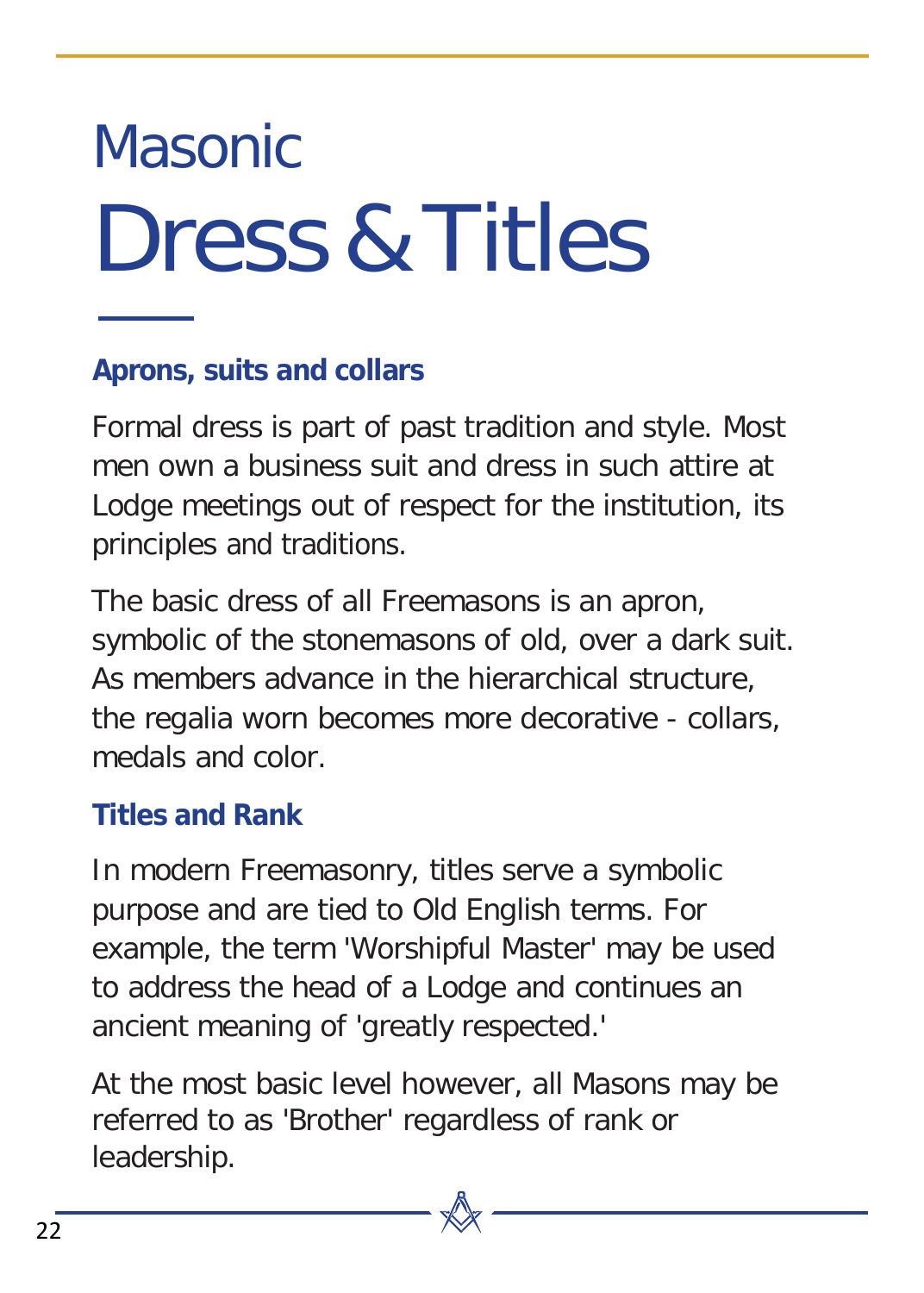## Masonic Dress&Titles

#### **Aprons, suits and collars**

Formal dress is part of past tradition and style. Most men own a business suit and dress in such attire at Lodge meetings out of respect for the institution, its principles and traditions.

The basic dress of all Freemasons is an apron, symbolic of the stonemasons of old, over a dark suit. As members advance in the hierarchical structure, the regalia worn becomes more decorative - collars, medals and color.

#### **Titles and Rank**

In modern Freemasonry, titles serve a symbolic purpose and are tied to Old English terms. For example, the term 'Worshipful Master' may be used to address the head of a Lodge and continues an ancient meaning of 'greatly respected.'

At the most basic level however, all Masons may be referred to as 'Brother' regardless of rank or leadership.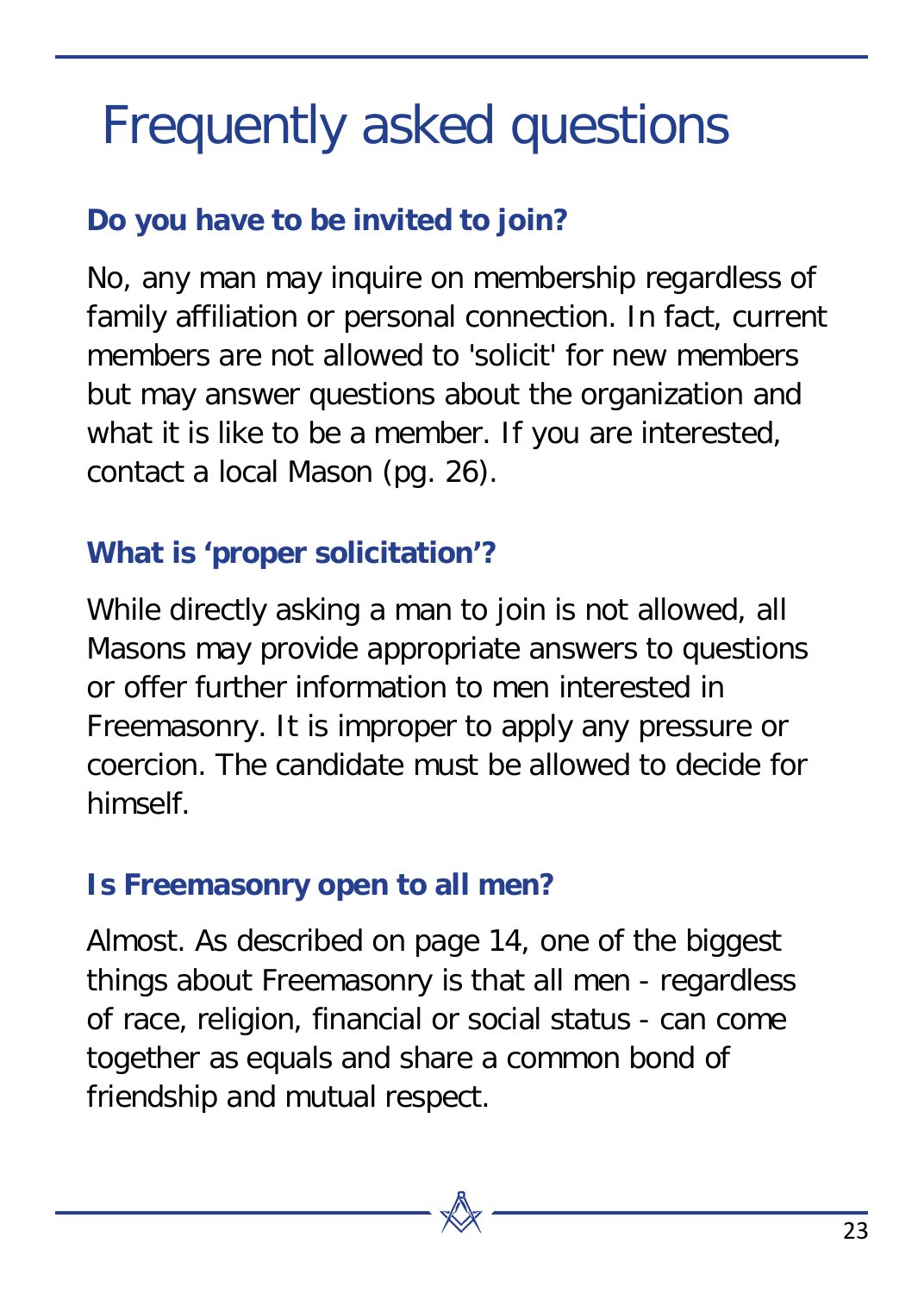### Frequently asked questions

#### **Do you have to be invited to join?**

No, any man may inquire on membership regardless of family affiliation or personal connection. In fact, current members are not allowed to 'solicit' for new members but may answer questions about the organization and what it is like to be a member. If you are interested, contact a local Mason (pg. 26).

#### **What is 'proper solicitation'?**

While directly asking a man to join is not allowed, all Masons may provide appropriate answers to questions or offer further information to men interested in Freemasonry. It is improper to apply any pressure or coercion. The candidate must be allowed to decide for himself.

#### **Is Freemasonry open to all men?**

Almost. As described on page 14, one of the biggest things about Freemasonry is that all men - regardless of race, religion, financial or social status - can come together as equals and share a common bond of friendship and mutual respect.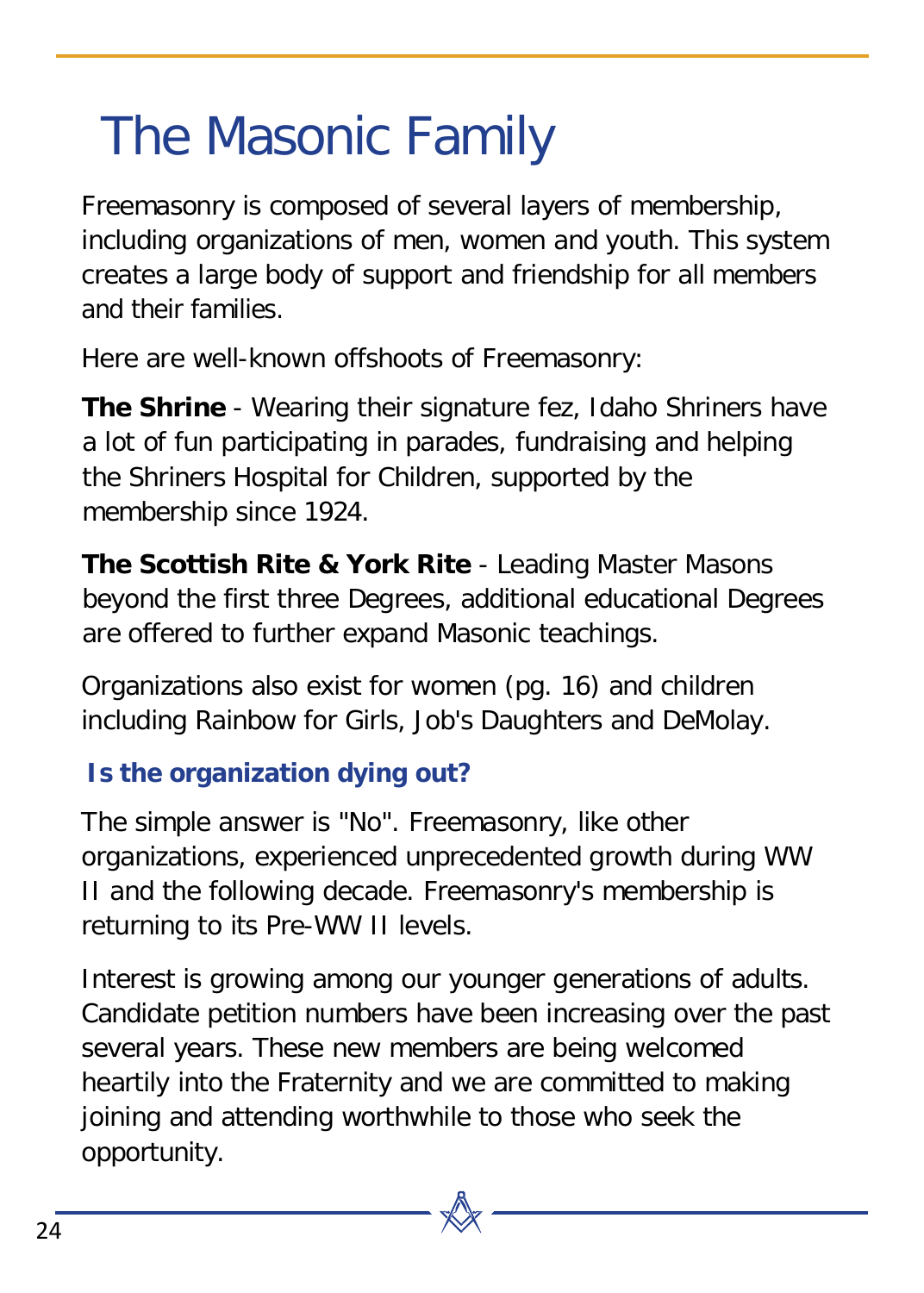### <span id="page-23-0"></span>The Masonic Family

Freemasonry is composed of several layers of membership, including organizations of men, women and youth. This system creates a large body of support and friendship for all members and their families.

Here are well-known offshoots of Freemasonry:

**The Shrine** - Wearing their signature fez, Idaho Shriners have a lot of fun participating in parades, fundraising and helping the Shriners Hospital for Children, supported by the membership since 1924.

**The Scottish Rite & York Rite** - Leading Master Masons beyond the first three Degrees, additional educational Degrees are offered to further expand Masonic teachings.

Organizations also exist for women (pg. 16) and children including Rainbow for Girls, Job's Daughters and DeMolay.

#### **Is the organization dying out?**

The simple answer is "No". Freemasonry, like other organizations, experienced unprecedented growth during WW II and the following decade. Freemasonry's membership is returning to its Pre-WW II levels.

Interest is growing among our younger generations of adults. Candidate petition numbers have been increasing over the past several years. These new members are being welcomed heartily into the Fraternity and we are committed to making joining and attending worthwhile to those who seek the opportunity.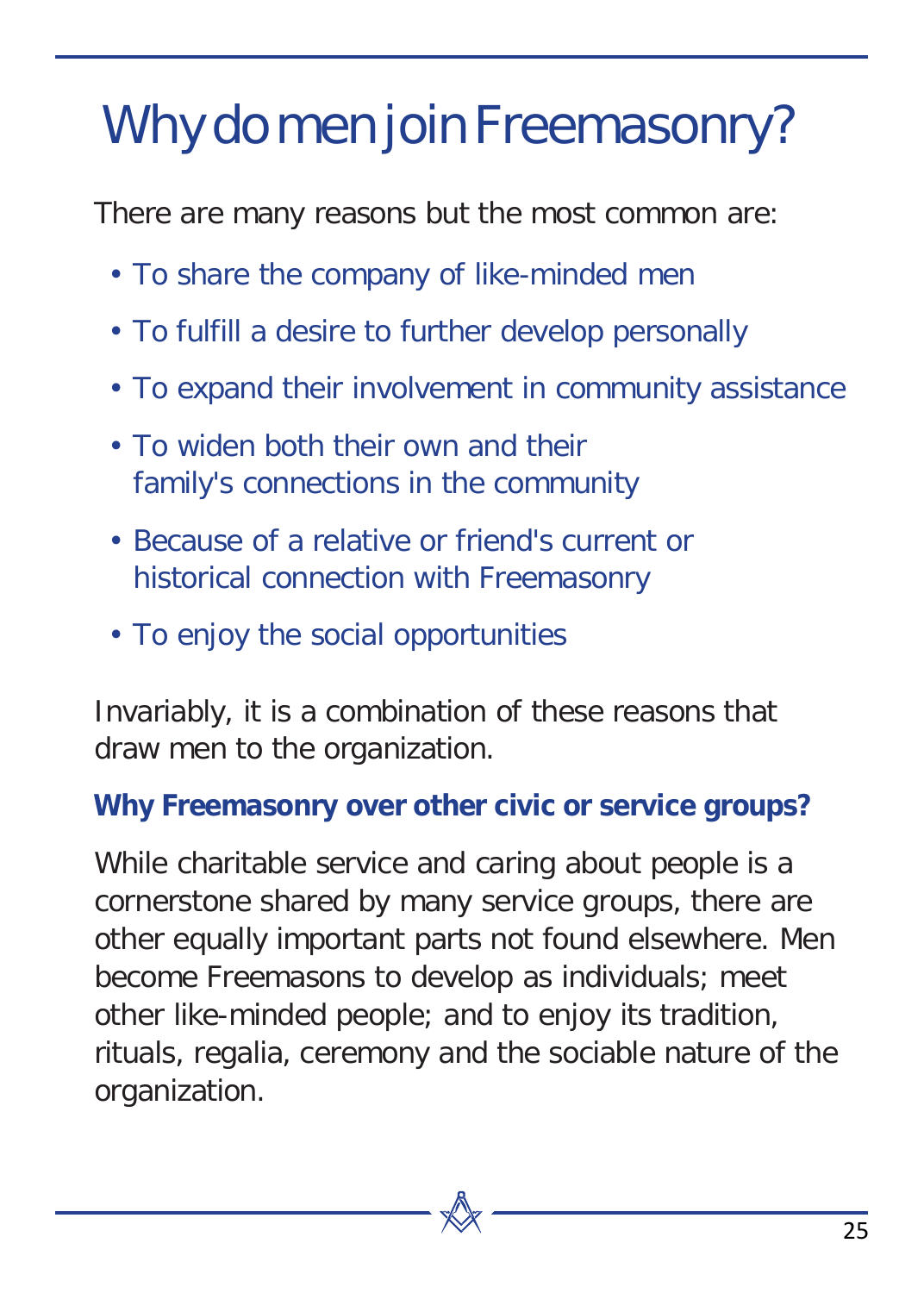### Why do men join Freemasonry?

There are many reasons but the most common are:

- To share the company of like-minded men
- To fulfill a desire to further develop personally
- To expand their involvement in community assistance
- To widen both their own and their family's connections in the community
- Because of a relative or friend's current or historical connection with Freemasonry
- To enjoy the social opportunities

Invariably, it is a combination of these reasons that draw men to the organization.

#### **Why Freemasonry over other civic or service groups?**

While charitable service and caring about people is a cornerstone shared by many service groups, there are other equally important parts not found elsewhere. Men become Freemasons to develop as individuals; meet other like-minded people; and to enjoy its tradition, rituals, regalia, ceremony and the sociable nature of the organization.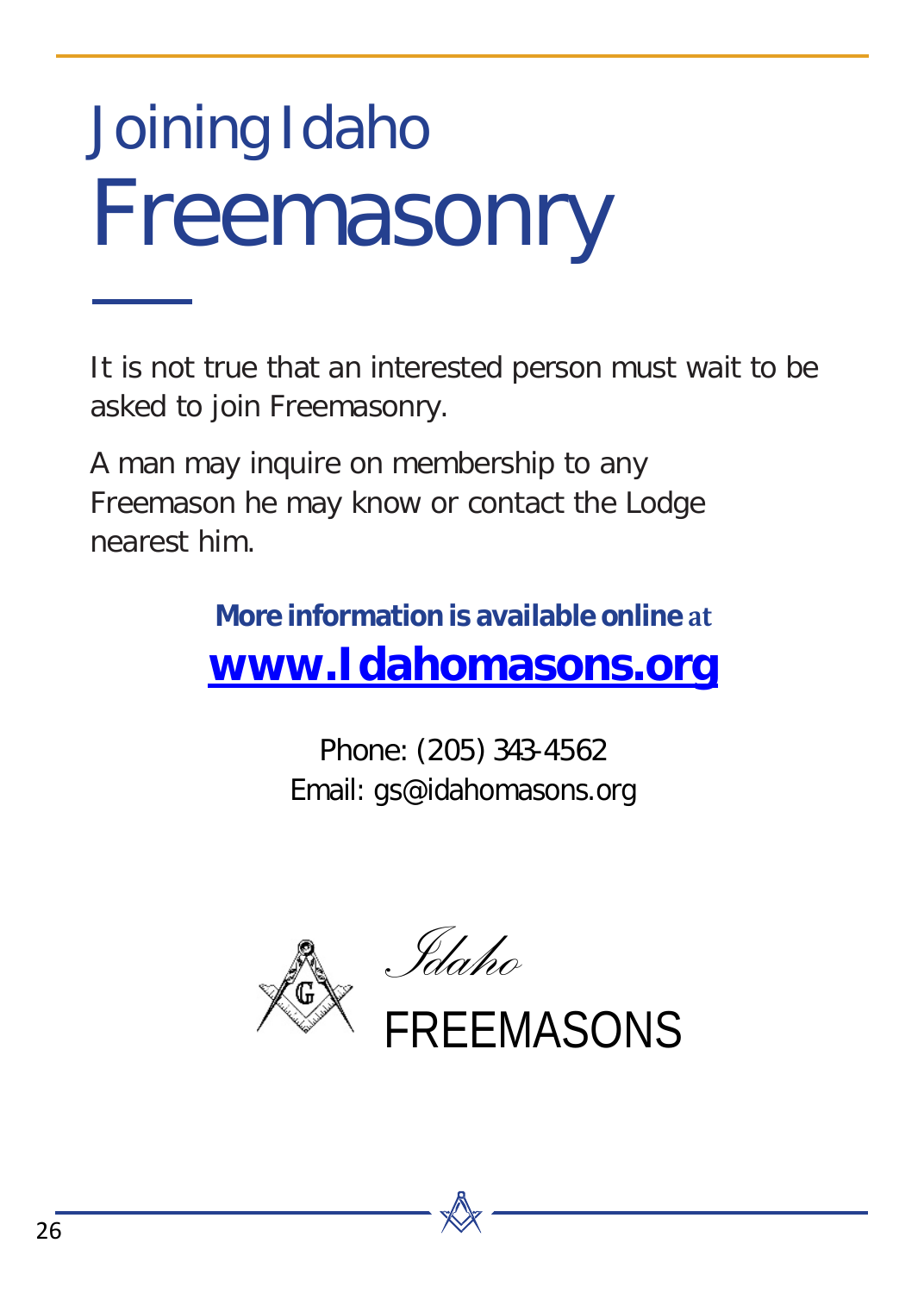## Joining Idaho Freemasonry

It is not true that an interested person must wait to be asked to join Freemasonry.

A man may inquire on membership to any Freemason he may know or contact the Lodge nearest him.

> **More information is available online at [www.Idahomasons.org](http://www.idahomasons.org/)**

> > Phone: (205) 343-4562 Email: gs@idahomasons.org



FREEMASONS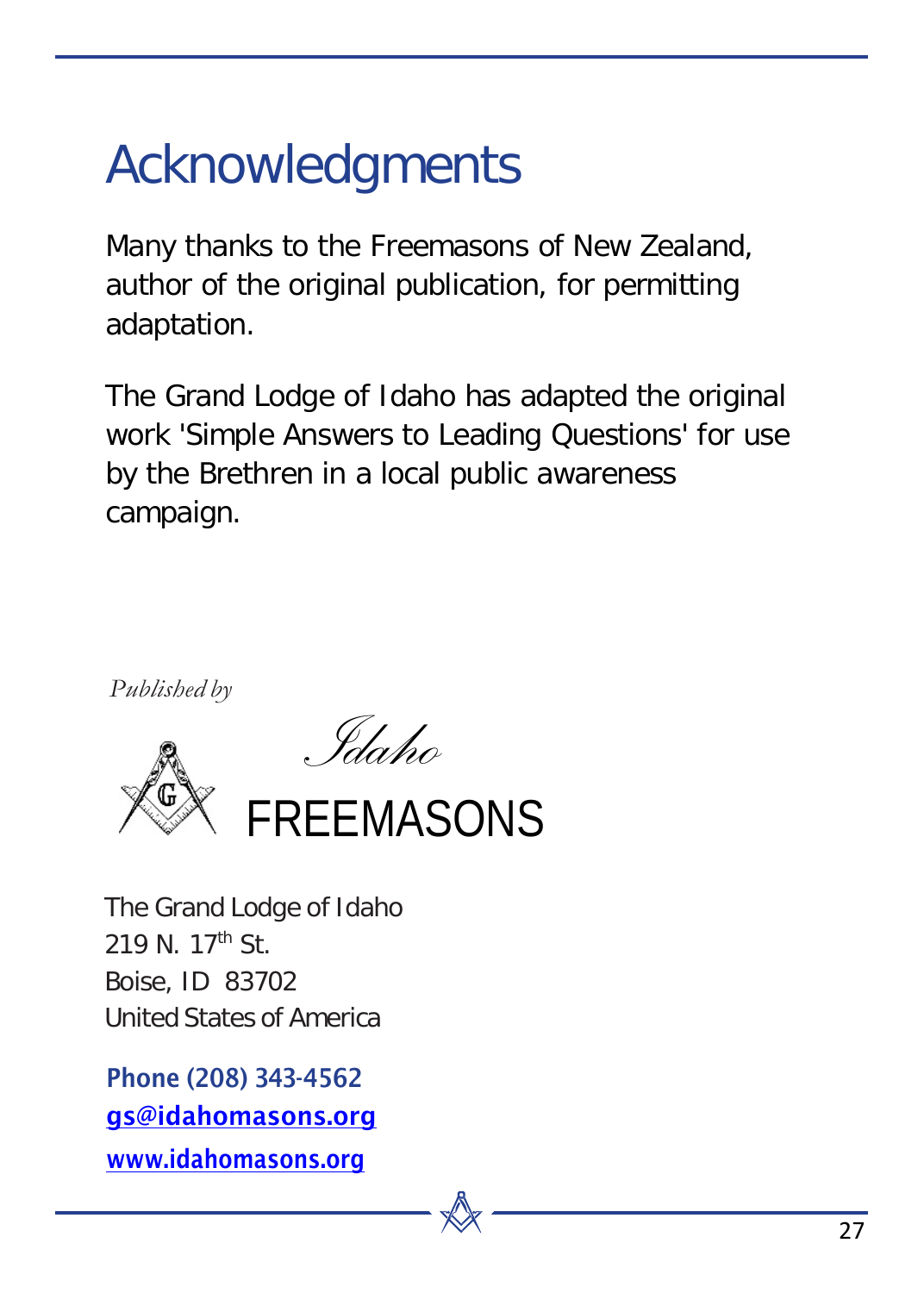### Acknowledgments

Many thanks to the Freemasons of New Zealand, author of the original publication, for permitting adaptation.

The Grand Lodge of Idaho has adapted the original work 'Simple Answers to Leading Questions' for use by the Brethren in a local public awareness campaign.

*Published by*





The Grand Lodge of Idaho 219 N. 17th St. Boise, ID 83702 United States of America

Phone (208) 343-4562 [gs@idahomasons.org](mailto:gs@idahomasons.org) [www.idahomasons.org](http://www.idahomasons.org/)